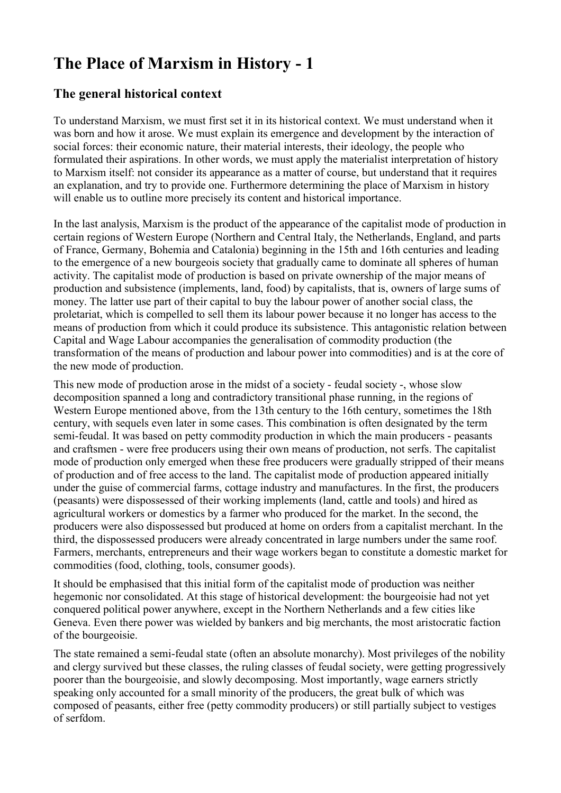# **The Place of Marxism in History - 1**

# **The general historical context**

To understand Marxism, we must first set it in its historical context. We must understand when it was born and how it arose. We must explain its emergence and development by the interaction of social forces: their economic nature, their material interests, their ideology, the people who formulated their aspirations. In other words, we must apply the materialist interpretation of history to Marxism itself: not consider its appearance as a matter of course, but understand that it requires an explanation, and try to provide one. Furthermore determining the place of Marxism in history will enable us to outline more precisely its content and historical importance.

In the last analysis, Marxism is the product of the appearance of the capitalist mode of production in certain regions of Western Europe (Northern and Central Italy, the Netherlands, England, and parts of France, Germany, Bohemia and Catalonia) beginning in the 15th and 16th centuries and leading to the emergence of a new bourgeois society that gradually came to dominate all spheres of human activity. The capitalist mode of production is based on private ownership of the major means of production and subsistence (implements, land, food) by capitalists, that is, owners of large sums of money. The latter use part of their capital to buy the labour power of another social class, the proletariat, which is compelled to sell them its labour power because it no longer has access to the means of production from which it could produce its subsistence. This antagonistic relation between Capital and Wage Labour accompanies the generalisation of commodity production (the transformation of the means of production and labour power into commodities) and is at the core of the new mode of production.

This new mode of production arose in the midst of a society - feudal society -, whose slow decomposition spanned a long and contradictory transitional phase running, in the regions of Western Europe mentioned above, from the 13th century to the 16th century, sometimes the 18th century, with sequels even later in some cases. This combination is often designated by the term semi-feudal. It was based on petty commodity production in which the main producers - peasants and craftsmen - were free producers using their own means of production, not serfs. The capitalist mode of production only emerged when these free producers were gradually stripped of their means of production and of free access to the land. The capitalist mode of production appeared initially under the guise of commercial farms, cottage industry and manufactures. In the first, the producers (peasants) were dispossessed of their working implements (land, cattle and tools) and hired as agricultural workers or domestics by a farmer who produced for the market. In the second, the producers were also dispossessed but produced at home on orders from a capitalist merchant. In the third, the dispossessed producers were already concentrated in large numbers under the same roof. Farmers, merchants, entrepreneurs and their wage workers began to constitute a domestic market for commodities (food, clothing, tools, consumer goods).

It should be emphasised that this initial form of the capitalist mode of production was neither hegemonic nor consolidated. At this stage of historical development: the bourgeoisie had not yet conquered political power anywhere, except in the Northern Netherlands and a few cities like Geneva. Even there power was wielded by bankers and big merchants, the most aristocratic faction of the bourgeoisie.

The state remained a semi-feudal state (often an absolute monarchy). Most privileges of the nobility and clergy survived but these classes, the ruling classes of feudal society, were getting progressively poorer than the bourgeoisie, and slowly decomposing. Most importantly, wage earners strictly speaking only accounted for a small minority of the producers, the great bulk of which was composed of peasants, either free (petty commodity producers) or still partially subject to vestiges of serfdom.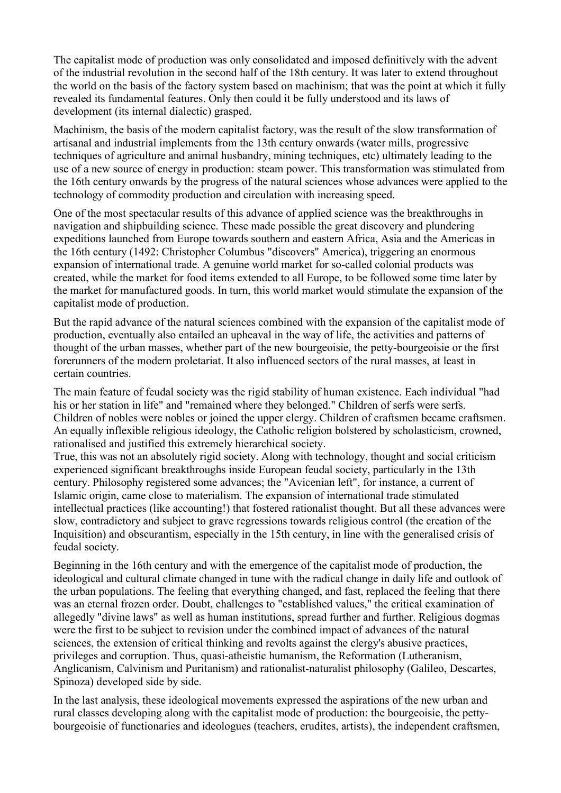The capitalist mode of production was only consolidated and imposed definitively with the advent of the industrial revolution in the second half of the 18th century. It was later to extend throughout the world on the basis of the factory system based on machinism; that was the point at which it fully revealed its fundamental features. Only then could it be fully understood and its laws of development (its internal dialectic) grasped.

Machinism, the basis of the modern capitalist factory, was the result of the slow transformation of artisanal and industrial implements from the 13th century onwards (water mills, progressive techniques of agriculture and animal husbandry, mining techniques, etc) ultimately leading to the use of a new source of energy in production: steam power. This transformation was stimulated from the 16th century onwards by the progress of the natural sciences whose advances were applied to the technology of commodity production and circulation with increasing speed.

One of the most spectacular results of this advance of applied science was the breakthroughs in navigation and shipbuilding science. These made possible the great discovery and plundering expeditions launched from Europe towards southern and eastern Africa, Asia and the Americas in the 16th century (1492: Christopher Columbus "discovers" America), triggering an enormous expansion of international trade. A genuine world market for so-called colonial products was created, while the market for food items extended to all Europe, to be followed some time later by the market for manufactured goods. In turn, this world market would stimulate the expansion of the capitalist mode of production.

But the rapid advance of the natural sciences combined with the expansion of the capitalist mode of production, eventually also entailed an upheaval in the way of life, the activities and patterns of thought of the urban masses, whether part of the new bourgeoisie, the petty-bourgeoisie or the first forerunners of the modern proletariat. It also influenced sectors of the rural masses, at least in certain countries.

The main feature of feudal society was the rigid stability of human existence. Each individual "had his or her station in life" and "remained where they belonged." Children of serfs were serfs. Children of nobles were nobles or joined the upper clergy. Children of craftsmen became craftsmen. An equally inflexible religious ideology, the Catholic religion bolstered by scholasticism, crowned, rationalised and justified this extremely hierarchical society.

True, this was not an absolutely rigid society. Along with technology, thought and social criticism experienced significant breakthroughs inside European feudal society, particularly in the 13th century. Philosophy registered some advances; the "Avicenian left", for instance, a current of Islamic origin, came close to materialism. The expansion of international trade stimulated intellectual practices (like accounting!) that fostered rationalist thought. But all these advances were slow, contradictory and subject to grave regressions towards religious control (the creation of the Inquisition) and obscurantism, especially in the 15th century, in line with the generalised crisis of feudal society.

Beginning in the 16th century and with the emergence of the capitalist mode of production, the ideological and cultural climate changed in tune with the radical change in daily life and outlook of the urban populations. The feeling that everything changed, and fast, replaced the feeling that there was an eternal frozen order. Doubt, challenges to "established values," the critical examination of allegedly "divine laws" as well as human institutions, spread further and further. Religious dogmas were the first to be subject to revision under the combined impact of advances of the natural sciences, the extension of critical thinking and revolts against the clergy's abusive practices, privileges and corruption. Thus, quasi-atheistic humanism, the Reformation (Lutheranism, Anglicanism, Calvinism and Puritanism) and rationalist-naturalist philosophy (Galileo, Descartes, Spinoza) developed side by side.

In the last analysis, these ideological movements expressed the aspirations of the new urban and rural classes developing along with the capitalist mode of production: the bourgeoisie, the pettybourgeoisie of functionaries and ideologues (teachers, erudites, artists), the independent craftsmen,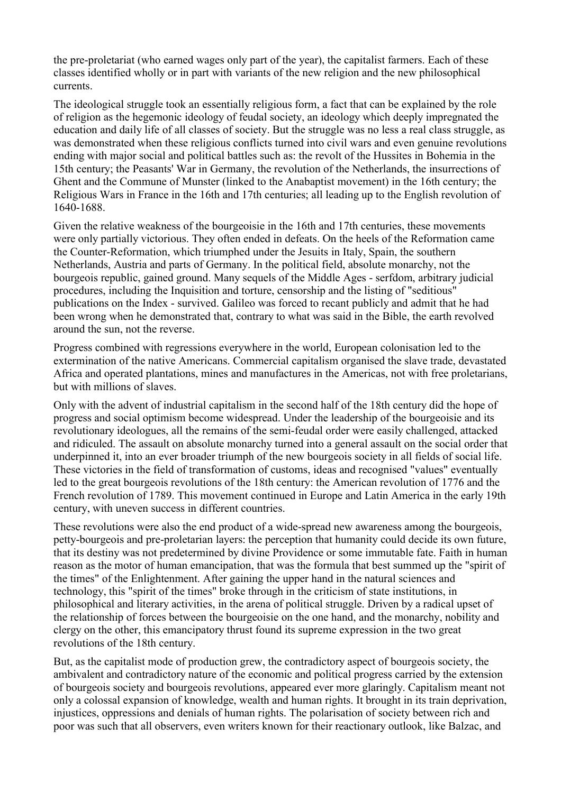the pre-proletariat (who earned wages only part of the year), the capitalist farmers. Each of these classes identified wholly or in part with variants of the new religion and the new philosophical currents.

The ideological struggle took an essentially religious form, a fact that can be explained by the role of religion as the hegemonic ideology of feudal society, an ideology which deeply impregnated the education and daily life of all classes of society. But the struggle was no less a real class struggle, as was demonstrated when these religious conflicts turned into civil wars and even genuine revolutions ending with major social and political battles such as: the revolt of the Hussites in Bohemia in the 15th century; the Peasants' War in Germany, the revolution of the Netherlands, the insurrections of Ghent and the Commune of Munster (linked to the Anabaptist movement) in the 16th century; the Religious Wars in France in the 16th and 17th centuries; all leading up to the English revolution of 1640-1688.

Given the relative weakness of the bourgeoisie in the 16th and 17th centuries, these movements were only partially victorious. They often ended in defeats. On the heels of the Reformation came the Counter-Reformation, which triumphed under the Jesuits in Italy, Spain, the southern Netherlands, Austria and parts of Germany. In the political field, absolute monarchy, not the bourgeois republic, gained ground. Many sequels of the Middle Ages - serfdom, arbitrary judicial procedures, including the Inquisition and torture, censorship and the listing of "seditious" publications on the Index - survived. Galileo was forced to recant publicly and admit that he had been wrong when he demonstrated that, contrary to what was said in the Bible, the earth revolved around the sun, not the reverse.

Progress combined with regressions everywhere in the world, European colonisation led to the extermination of the native Americans. Commercial capitalism organised the slave trade, devastated Africa and operated plantations, mines and manufactures in the Americas, not with free proletarians, but with millions of slaves.

Only with the advent of industrial capitalism in the second half of the 18th century did the hope of progress and social optimism become widespread. Under the leadership of the bourgeoisie and its revolutionary ideologues, all the remains of the semi-feudal order were easily challenged, attacked and ridiculed. The assault on absolute monarchy turned into a general assault on the social order that underpinned it, into an ever broader triumph of the new bourgeois society in all fields of social life. These victories in the field of transformation of customs, ideas and recognised "values" eventually led to the great bourgeois revolutions of the 18th century: the American revolution of 1776 and the French revolution of 1789. This movement continued in Europe and Latin America in the early 19th century, with uneven success in different countries.

These revolutions were also the end product of a wide-spread new awareness among the bourgeois, petty-bourgeois and pre-proletarian layers: the perception that humanity could decide its own future, that its destiny was not predetermined by divine Providence or some immutable fate. Faith in human reason as the motor of human emancipation, that was the formula that best summed up the "spirit of the times" of the Enlightenment. After gaining the upper hand in the natural sciences and technology, this "spirit of the times" broke through in the criticism of state institutions, in philosophical and literary activities, in the arena of political struggle. Driven by a radical upset of the relationship of forces between the bourgeoisie on the one hand, and the monarchy, nobility and clergy on the other, this emancipatory thrust found its supreme expression in the two great revolutions of the 18th century.

But, as the capitalist mode of production grew, the contradictory aspect of bourgeois society, the ambivalent and contradictory nature of the economic and political progress carried by the extension of bourgeois society and bourgeois revolutions, appeared ever more glaringly. Capitalism meant not only a colossal expansion of knowledge, wealth and human rights. It brought in its train deprivation, injustices, oppressions and denials of human rights. The polarisation of society between rich and poor was such that all observers, even writers known for their reactionary outlook, like Balzac, and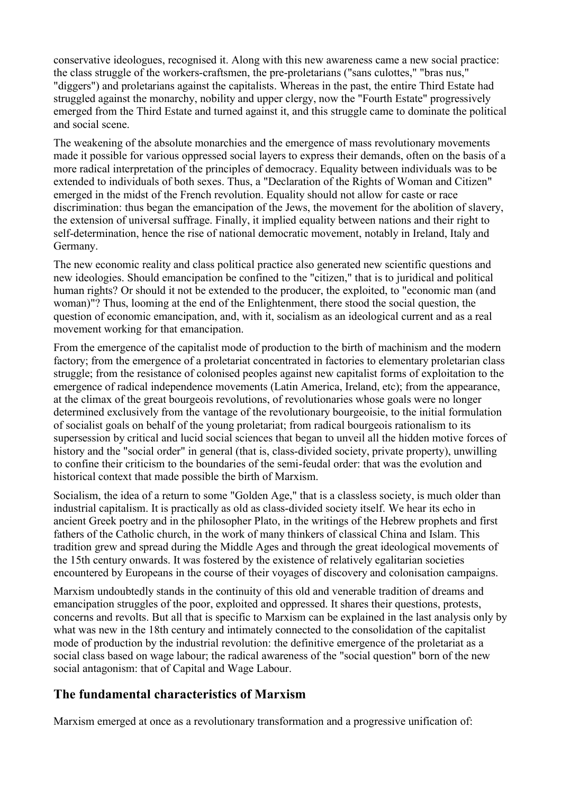conservative ideologues, recognised it. Along with this new awareness came a new social practice: the class struggle of the workers-craftsmen, the pre-proletarians ("sans culottes," "bras nus," "diggers") and proletarians against the capitalists. Whereas in the past, the entire Third Estate had struggled against the monarchy, nobility and upper clergy, now the "Fourth Estate" progressively emerged from the Third Estate and turned against it, and this struggle came to dominate the political and social scene.

The weakening of the absolute monarchies and the emergence of mass revolutionary movements made it possible for various oppressed social layers to express their demands, often on the basis of a more radical interpretation of the principles of democracy. Equality between individuals was to be extended to individuals of both sexes. Thus, a "Declaration of the Rights of Woman and Citizen" emerged in the midst of the French revolution. Equality should not allow for caste or race discrimination: thus began the emancipation of the Jews, the movement for the abolition of slavery, the extension of universal suffrage. Finally, it implied equality between nations and their right to self-determination, hence the rise of national democratic movement, notably in Ireland, Italy and Germany.

The new economic reality and class political practice also generated new scientific questions and new ideologies. Should emancipation be confined to the "citizen," that is to juridical and political human rights? Or should it not be extended to the producer, the exploited, to "economic man (and woman)"? Thus, looming at the end of the Enlightenment, there stood the social question, the question of economic emancipation, and, with it, socialism as an ideological current and as a real movement working for that emancipation.

From the emergence of the capitalist mode of production to the birth of machinism and the modern factory; from the emergence of a proletariat concentrated in factories to elementary proletarian class struggle; from the resistance of colonised peoples against new capitalist forms of exploitation to the emergence of radical independence movements (Latin America, Ireland, etc); from the appearance, at the climax of the great bourgeois revolutions, of revolutionaries whose goals were no longer determined exclusively from the vantage of the revolutionary bourgeoisie, to the initial formulation of socialist goals on behalf of the young proletariat; from radical bourgeois rationalism to its supersession by critical and lucid social sciences that began to unveil all the hidden motive forces of history and the "social order" in general (that is, class-divided society, private property), unwilling to confine their criticism to the boundaries of the semi-feudal order: that was the evolution and historical context that made possible the birth of Marxism.

Socialism, the idea of a return to some "Golden Age," that is a classless society, is much older than industrial capitalism. It is practically as old as class-divided society itself. We hear its echo in ancient Greek poetry and in the philosopher Plato, in the writings of the Hebrew prophets and first fathers of the Catholic church, in the work of many thinkers of classical China and Islam. This tradition grew and spread during the Middle Ages and through the great ideological movements of the 15th century onwards. It was fostered by the existence of relatively egalitarian societies encountered by Europeans in the course of their voyages of discovery and colonisation campaigns.

Marxism undoubtedly stands in the continuity of this old and venerable tradition of dreams and emancipation struggles of the poor, exploited and oppressed. It shares their questions, protests, concerns and revolts. But all that is specific to Marxism can be explained in the last analysis only by what was new in the 18th century and intimately connected to the consolidation of the capitalist mode of production by the industrial revolution: the definitive emergence of the proletariat as a social class based on wage labour; the radical awareness of the "social question" born of the new social antagonism: that of Capital and Wage Labour.

# **The fundamental characteristics of Marxism**

Marxism emerged at once as a revolutionary transformation and a progressive unification of: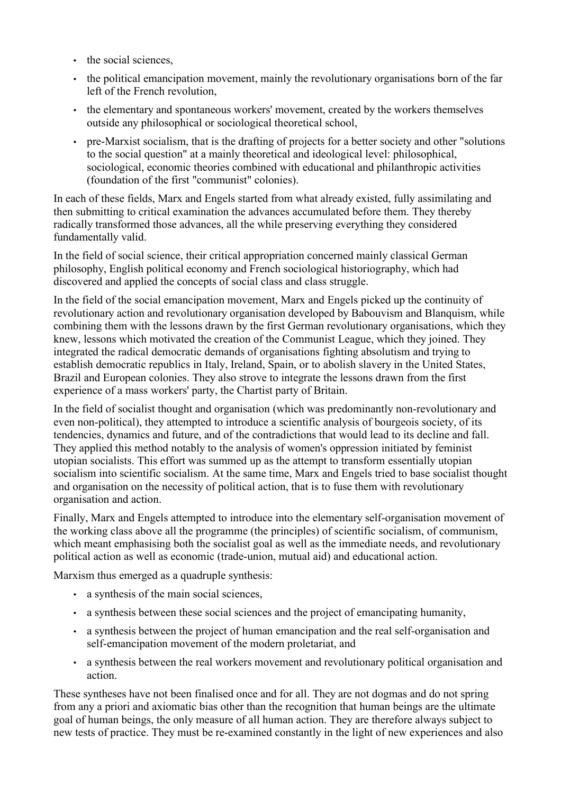- the social sciences.
- the political emancipation movement, mainly the revolutionary organisations born of the far left of the French revolution,
- the elementary and spontaneous workers' movement, created by the workers themselves outside any philosophical or sociological theoretical school,
- pre-Marxist socialism, that is the drafting of projects for a better society and other "solutions" to the social question" at a mainly theoretical and ideological level: philosophical, sociological, economic theories combined with educational and philanthropic activities (foundation of the first "communist" colonies).

In each of these fields, Marx and Engels started from what already existed, fully assimilating and then submitting to critical examination the advances accumulated before them. They thereby radically transformed those advances, all the while preserving everything they considered fundamentally valid.

In the field of social science, their critical appropriation concerned mainly classical German philosophy, English political economy and French sociological historiography, which had discovered and applied the concepts of social class and class struggle.

In the field of the social emancipation movement, Marx and Engels picked up the continuity of revolutionary action and revolutionary organisation developed by Babouvism and Blanquism, while combining them with the lessons drawn by the first German revolutionary organisations, which they knew, lessons which motivated the creation of the Communist League, which they joined. They integrated the radical democratic demands of organisations fighting absolutism and trying to establish democratic republics in Italy, Ireland, Spain, or to abolish slavery in the United States, Brazil and European colonies. They also strove to integrate the lessons drawn from the first experience of a mass workers' party, the Chartist party of Britain.

In the field of socialist thought and organisation (which was predominantly non-revolutionary and even non-political), they attempted to introduce a scientific analysis of bourgeois society, of its tendencies, dynamics and future, and of the contradictions that would lead to its decline and fall. They applied this method notably to the analysis of women's oppression initiated by feminist utopian socialists. This effort was summed up as the attempt to transform essentially utopian socialism into scientific socialism. At the same time, Marx and Engels tried to base socialist thought and organisation on the necessity of political action, that is to fuse them with revolutionary organisation and action.

Finally, Marx and Engels attempted to introduce into the elementary self-organisation movement of the working class above all the programme (the principles) of scientific socialism, of communism, which meant emphasising both the socialist goal as well as the immediate needs, and revolutionary political action as well as economic (trade-union, mutual aid) and educational action.

Marxism thus emerged as a quadruple synthesis:

- a synthesis of the main social sciences,
- a synthesis between these social sciences and the project of emancipating humanity,
- a synthesis between the project of human emancipation and the real self-organisation and self-emancipation movement of the modern proletariat, and
- a synthesis between the real workers movement and revolutionary political organisation and action.

These syntheses have not been finalised once and for all. They are not dogmas and do not spring from any a priori and axiomatic bias other than the recognition that human beings are the ultimate goal of human beings, the only measure of all human action. They are therefore always subject to new tests of practice. They must be re-examined constantly in the light of new experiences and also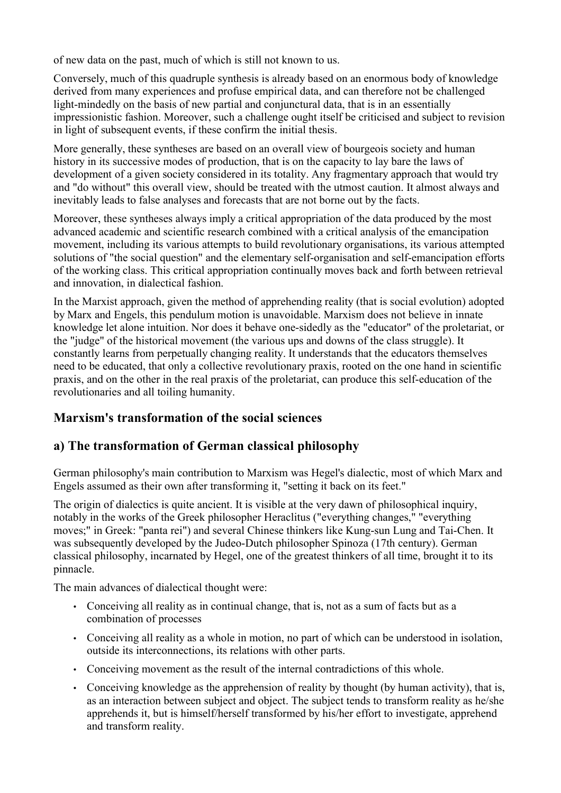of new data on the past, much of which is still not known to us.

Conversely, much of this quadruple synthesis is already based on an enormous body of knowledge derived from many experiences and profuse empirical data, and can therefore not be challenged light-mindedly on the basis of new partial and conjunctural data, that is in an essentially impressionistic fashion. Moreover, such a challenge ought itself be criticised and subject to revision in light of subsequent events, if these confirm the initial thesis.

More generally, these syntheses are based on an overall view of bourgeois society and human history in its successive modes of production, that is on the capacity to lay bare the laws of development of a given society considered in its totality. Any fragmentary approach that would try and "do without" this overall view, should be treated with the utmost caution. It almost always and inevitably leads to false analyses and forecasts that are not borne out by the facts.

Moreover, these syntheses always imply a critical appropriation of the data produced by the most advanced academic and scientific research combined with a critical analysis of the emancipation movement, including its various attempts to build revolutionary organisations, its various attempted solutions of "the social question" and the elementary self-organisation and self-emancipation efforts of the working class. This critical appropriation continually moves back and forth between retrieval and innovation, in dialectical fashion.

In the Marxist approach, given the method of apprehending reality (that is social evolution) adopted by Marx and Engels, this pendulum motion is unavoidable. Marxism does not believe in innate knowledge let alone intuition. Nor does it behave one-sidedly as the "educator" of the proletariat, or the "judge" of the historical movement (the various ups and downs of the class struggle). It constantly learns from perpetually changing reality. It understands that the educators themselves need to be educated, that only a collective revolutionary praxis, rooted on the one hand in scientific praxis, and on the other in the real praxis of the proletariat, can produce this self-education of the revolutionaries and all toiling humanity.

# **Marxism's transformation of the social sciences**

# **a) The transformation of German classical philosophy**

German philosophy's main contribution to Marxism was Hegel's dialectic, most of which Marx and Engels assumed as their own after transforming it, "setting it back on its feet."

The origin of dialectics is quite ancient. It is visible at the very dawn of philosophical inquiry, notably in the works of the Greek philosopher Heraclitus ("everything changes," "everything moves;" in Greek: "panta rei") and several Chinese thinkers like Kung-sun Lung and Tai-Chen. It was subsequently developed by the Judeo-Dutch philosopher Spinoza (17th century). German classical philosophy, incarnated by Hegel, one of the greatest thinkers of all time, brought it to its pinnacle.

The main advances of dialectical thought were:

- Conceiving all reality as in continual change, that is, not as a sum of facts but as a combination of processes
- Conceiving all reality as a whole in motion, no part of which can be understood in isolation, outside its interconnections, its relations with other parts.
- Conceiving movement as the result of the internal contradictions of this whole.
- Conceiving knowledge as the apprehension of reality by thought (by human activity), that is, as an interaction between subject and object. The subject tends to transform reality as he/she apprehends it, but is himself/herself transformed by his/her effort to investigate, apprehend and transform reality.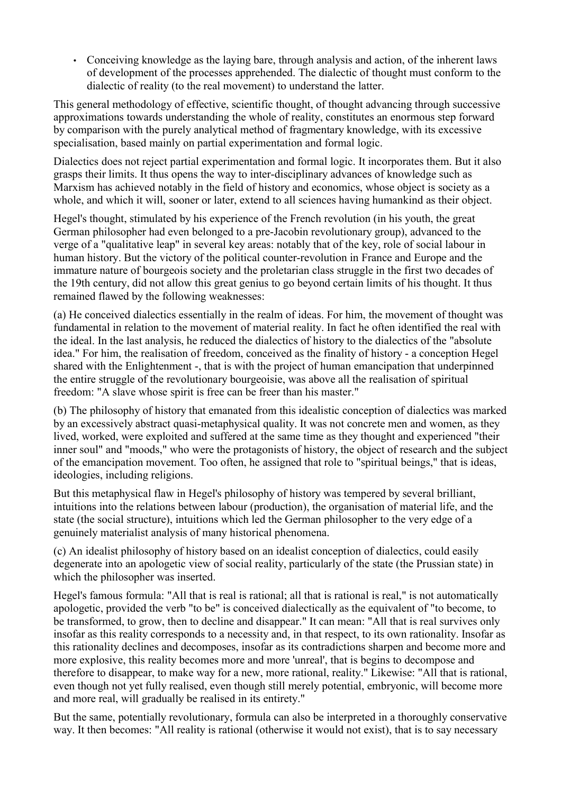• Conceiving knowledge as the laying bare, through analysis and action, of the inherent laws of development of the processes apprehended. The dialectic of thought must conform to the dialectic of reality (to the real movement) to understand the latter.

This general methodology of effective, scientific thought, of thought advancing through successive approximations towards understanding the whole of reality, constitutes an enormous step forward by comparison with the purely analytical method of fragmentary knowledge, with its excessive specialisation, based mainly on partial experimentation and formal logic.

Dialectics does not reject partial experimentation and formal logic. It incorporates them. But it also grasps their limits. It thus opens the way to inter-disciplinary advances of knowledge such as Marxism has achieved notably in the field of history and economics, whose object is society as a whole, and which it will, sooner or later, extend to all sciences having humankind as their object.

Hegel's thought, stimulated by his experience of the French revolution (in his youth, the great German philosopher had even belonged to a pre-Jacobin revolutionary group), advanced to the verge of a "qualitative leap" in several key areas: notably that of the key, role of social labour in human history. But the victory of the political counter-revolution in France and Europe and the immature nature of bourgeois society and the proletarian class struggle in the first two decades of the 19th century, did not allow this great genius to go beyond certain limits of his thought. It thus remained flawed by the following weaknesses:

(a) He conceived dialectics essentially in the realm of ideas. For him, the movement of thought was fundamental in relation to the movement of material reality. In fact he often identified the real with the ideal. In the last analysis, he reduced the dialectics of history to the dialectics of the "absolute idea." For him, the realisation of freedom, conceived as the finality of history - a conception Hegel shared with the Enlightenment -, that is with the project of human emancipation that underpinned the entire struggle of the revolutionary bourgeoisie, was above all the realisation of spiritual freedom: "A slave whose spirit is free can be freer than his master."

(b) The philosophy of history that emanated from this idealistic conception of dialectics was marked by an excessively abstract quasi-metaphysical quality. It was not concrete men and women, as they lived, worked, were exploited and suffered at the same time as they thought and experienced "their inner soul" and "moods," who were the protagonists of history, the object of research and the subject of the emancipation movement. Too often, he assigned that role to "spiritual beings," that is ideas, ideologies, including religions.

But this metaphysical flaw in Hegel's philosophy of history was tempered by several brilliant, intuitions into the relations between labour (production), the organisation of material life, and the state (the social structure), intuitions which led the German philosopher to the very edge of a genuinely materialist analysis of many historical phenomena.

(c) An idealist philosophy of history based on an idealist conception of dialectics, could easily degenerate into an apologetic view of social reality, particularly of the state (the Prussian state) in which the philosopher was inserted.

Hegel's famous formula: "All that is real is rational; all that is rational is real," is not automatically apologetic, provided the verb "to be" is conceived dialectically as the equivalent of "to become, to be transformed, to grow, then to decline and disappear." It can mean: "All that is real survives only insofar as this reality corresponds to a necessity and, in that respect, to its own rationality. Insofar as this rationality declines and decomposes, insofar as its contradictions sharpen and become more and more explosive, this reality becomes more and more 'unreal', that is begins to decompose and therefore to disappear, to make way for a new, more rational, reality." Likewise: "All that is rational, even though not yet fully realised, even though still merely potential, embryonic, will become more and more real, will gradually be realised in its entirety."

But the same, potentially revolutionary, formula can also be interpreted in a thoroughly conservative way. It then becomes: "All reality is rational (otherwise it would not exist), that is to say necessary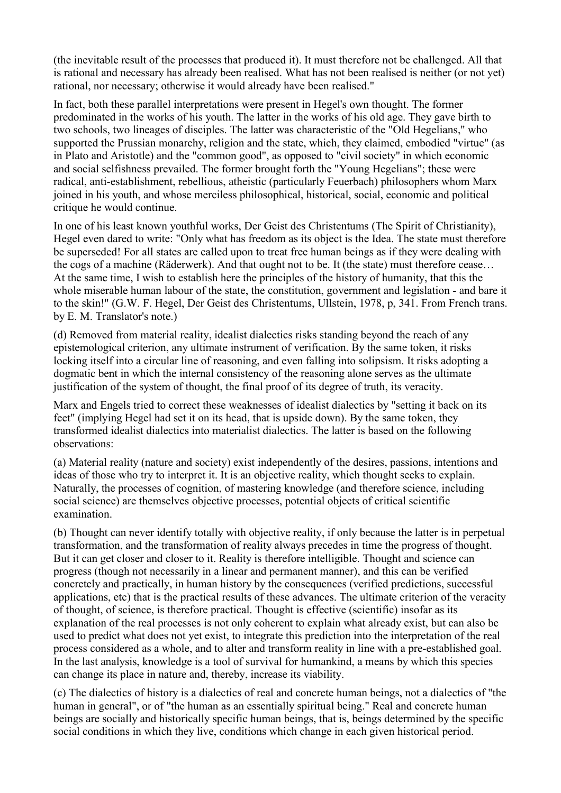(the inevitable result of the processes that produced it). It must therefore not be challenged. All that is rational and necessary has already been realised. What has not been realised is neither (or not yet) rational, nor necessary; otherwise it would already have been realised."

In fact, both these parallel interpretations were present in Hegel's own thought. The former predominated in the works of his youth. The latter in the works of his old age. They gave birth to two schools, two lineages of disciples. The latter was characteristic of the "Old Hegelians," who supported the Prussian monarchy, religion and the state, which, they claimed, embodied "virtue" (as in Plato and Aristotle) and the "common good", as opposed to "civil society" in which economic and social selfishness prevailed. The former brought forth the "Young Hegelians"; these were radical, anti-establishment, rebellious, atheistic (particularly Feuerbach) philosophers whom Marx joined in his youth, and whose merciless philosophical, historical, social, economic and political critique he would continue.

In one of his least known youthful works, Der Geist des Christentums (The Spirit of Christianity), Hegel even dared to write: "Only what has freedom as its object is the Idea. The state must therefore be superseded! For all states are called upon to treat free human beings as if they were dealing with the cogs of a machine (Räderwerk). And that ought not to be. It (the state) must therefore cease… At the same time, I wish to establish here the principles of the history of humanity, that this the whole miserable human labour of the state, the constitution, government and legislation - and bare it to the skin!" (G.W. F. Hegel, Der Geist des Christentums, Ullstein, 1978, p, 341. From French trans. by E. M. Translator's note.)

(d) Removed from material reality, idealist dialectics risks standing beyond the reach of any epistemological criterion, any ultimate instrument of verification. By the same token, it risks locking itself into a circular line of reasoning, and even falling into solipsism. It risks adopting a dogmatic bent in which the internal consistency of the reasoning alone serves as the ultimate justification of the system of thought, the final proof of its degree of truth, its veracity.

Marx and Engels tried to correct these weaknesses of idealist dialectics by "setting it back on its feet" (implying Hegel had set it on its head, that is upside down). By the same token, they transformed idealist dialectics into materialist dialectics. The latter is based on the following observations:

(a) Material reality (nature and society) exist independently of the desires, passions, intentions and ideas of those who try to interpret it. It is an objective reality, which thought seeks to explain. Naturally, the processes of cognition, of mastering knowledge (and therefore science, including social science) are themselves objective processes, potential objects of critical scientific examination.

(b) Thought can never identify totally with objective reality, if only because the latter is in perpetual transformation, and the transformation of reality always precedes in time the progress of thought. But it can get closer and closer to it. Reality is therefore intelligible. Thought and science can progress (though not necessarily in a linear and permanent manner), and this can be verified concretely and practically, in human history by the consequences (verified predictions, successful applications, etc) that is the practical results of these advances. The ultimate criterion of the veracity of thought, of science, is therefore practical. Thought is effective (scientific) insofar as its explanation of the real processes is not only coherent to explain what already exist, but can also be used to predict what does not yet exist, to integrate this prediction into the interpretation of the real process considered as a whole, and to alter and transform reality in line with a pre-established goal. In the last analysis, knowledge is a tool of survival for humankind, a means by which this species can change its place in nature and, thereby, increase its viability.

(c) The dialectics of history is a dialectics of real and concrete human beings, not a dialectics of "the human in general", or of "the human as an essentially spiritual being." Real and concrete human beings are socially and historically specific human beings, that is, beings determined by the specific social conditions in which they live, conditions which change in each given historical period.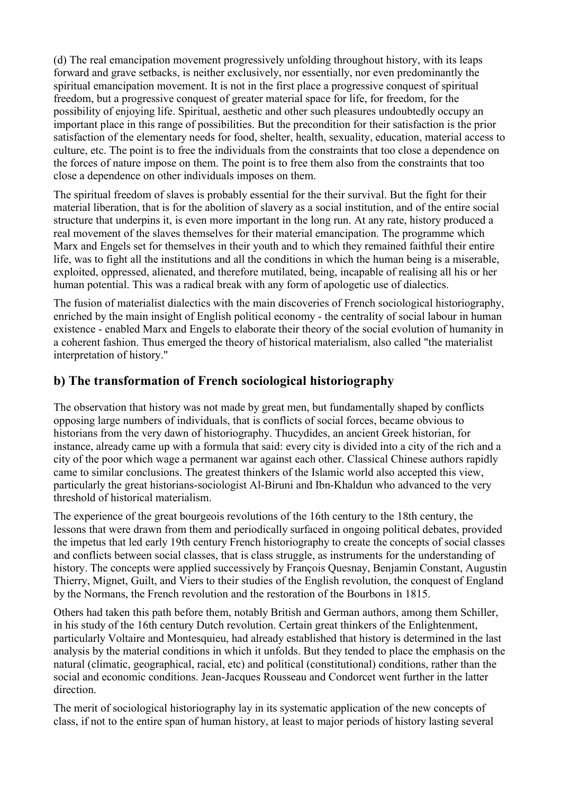(d) The real emancipation movement progressively unfolding throughout history, with its leaps forward and grave setbacks, is neither exclusively, nor essentially, nor even predominantly the spiritual emancipation movement. It is not in the first place a progressive conquest of spiritual freedom, but a progressive conquest of greater material space for life, for freedom, for the possibility of enjoying life. Spiritual, aesthetic and other such pleasures undoubtedly occupy an important place in this range of possibilities. But the precondition for their satisfaction is the prior satisfaction of the elementary needs for food, shelter, health, sexuality, education, material access to culture, etc. The point is to free the individuals from the constraints that too close a dependence on the forces of nature impose on them. The point is to free them also from the constraints that too close a dependence on other individuals imposes on them.

The spiritual freedom of slaves is probably essential for the their survival. But the fight for their material liberation, that is for the abolition of slavery as a social institution, and of the entire social structure that underpins it, is even more important in the long run. At any rate, history produced a real movement of the slaves themselves for their material emancipation. The programme which Marx and Engels set for themselves in their youth and to which they remained faithful their entire life, was to fight all the institutions and all the conditions in which the human being is a miserable, exploited, oppressed, alienated, and therefore mutilated, being, incapable of realising all his or her human potential. This was a radical break with any form of apologetic use of dialectics.

The fusion of materialist dialectics with the main discoveries of French sociological historiography, enriched by the main insight of English political economy - the centrality of social labour in human existence - enabled Marx and Engels to elaborate their theory of the social evolution of humanity in a coherent fashion. Thus emerged the theory of historical materialism, also called "the materialist interpretation of history."

# **b) The transformation of French sociological historiography**

The observation that history was not made by great men, but fundamentally shaped by conflicts opposing large numbers of individuals, that is conflicts of social forces, became obvious to historians from the very dawn of historiography. Thucydides, an ancient Greek historian, for instance, already came up with a formula that said: every city is divided into a city of the rich and a city of the poor which wage a permanent war against each other. Classical Chinese authors rapidly came to similar conclusions. The greatest thinkers of the Islamic world also accepted this view, particularly the great historians-sociologist Al-Biruni and Ibn-Khaldun who advanced to the very threshold of historical materialism.

The experience of the great bourgeois revolutions of the 16th century to the 18th century, the lessons that were drawn from them and periodically surfaced in ongoing political debates, provided the impetus that led early 19th century French historiography to create the concepts of social classes and conflicts between social classes, that is class struggle, as instruments for the understanding of history. The concepts were applied successively by François Quesnay, Benjamin Constant, Augustin Thierry, Mignet, Guilt, and Viers to their studies of the English revolution, the conquest of England by the Normans, the French revolution and the restoration of the Bourbons in 1815.

Others had taken this path before them, notably British and German authors, among them Schiller, in his study of the 16th century Dutch revolution. Certain great thinkers of the Enlightenment, particularly Voltaire and Montesquieu, had already established that history is determined in the last analysis by the material conditions in which it unfolds. But they tended to place the emphasis on the natural (climatic, geographical, racial, etc) and political (constitutional) conditions, rather than the social and economic conditions. Jean-Jacques Rousseau and Condorcet went further in the latter direction.

The merit of sociological historiography lay in its systematic application of the new concepts of class, if not to the entire span of human history, at least to major periods of history lasting several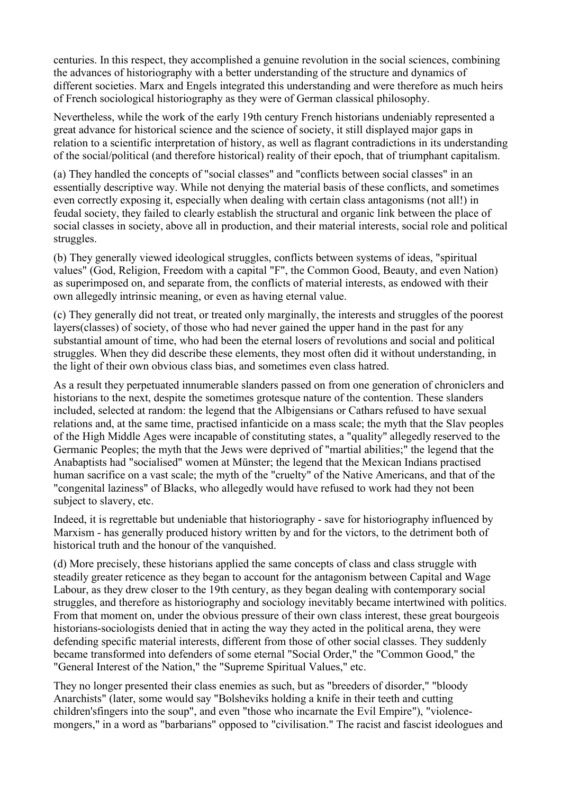centuries. In this respect, they accomplished a genuine revolution in the social sciences, combining the advances of historiography with a better understanding of the structure and dynamics of different societies. Marx and Engels integrated this understanding and were therefore as much heirs of French sociological historiography as they were of German classical philosophy.

Nevertheless, while the work of the early 19th century French historians undeniably represented a great advance for historical science and the science of society, it still displayed major gaps in relation to a scientific interpretation of history, as well as flagrant contradictions in its understanding of the social/political (and therefore historical) reality of their epoch, that of triumphant capitalism.

(a) They handled the concepts of "social classes" and "conflicts between social classes" in an essentially descriptive way. While not denying the material basis of these conflicts, and sometimes even correctly exposing it, especially when dealing with certain class antagonisms (not all!) in feudal society, they failed to clearly establish the structural and organic link between the place of social classes in society, above all in production, and their material interests, social role and political struggles.

(b) They generally viewed ideological struggles, conflicts between systems of ideas, "spiritual values" (God, Religion, Freedom with a capital "F", the Common Good, Beauty, and even Nation) as superimposed on, and separate from, the conflicts of material interests, as endowed with their own allegedly intrinsic meaning, or even as having eternal value.

(c) They generally did not treat, or treated only marginally, the interests and struggles of the poorest layers(classes) of society, of those who had never gained the upper hand in the past for any substantial amount of time, who had been the eternal losers of revolutions and social and political struggles. When they did describe these elements, they most often did it without understanding, in the light of their own obvious class bias, and sometimes even class hatred.

As a result they perpetuated innumerable slanders passed on from one generation of chroniclers and historians to the next, despite the sometimes grotesque nature of the contention. These slanders included, selected at random: the legend that the Albigensians or Cathars refused to have sexual relations and, at the same time, practised infanticide on a mass scale; the myth that the Slav peoples of the High Middle Ages were incapable of constituting states, a "quality" allegedly reserved to the Germanic Peoples; the myth that the Jews were deprived of "martial abilities;" the legend that the Anabaptists had "socialised" women at Münster; the legend that the Mexican Indians practised human sacrifice on a vast scale; the myth of the "cruelty" of the Native Americans, and that of the "congenital laziness" of Blacks, who allegedly would have refused to work had they not been subject to slavery, etc.

Indeed, it is regrettable but undeniable that historiography - save for historiography influenced by Marxism - has generally produced history written by and for the victors, to the detriment both of historical truth and the honour of the vanquished.

(d) More precisely, these historians applied the same concepts of class and class struggle with steadily greater reticence as they began to account for the antagonism between Capital and Wage Labour, as they drew closer to the 19th century, as they began dealing with contemporary social struggles, and therefore as historiography and sociology inevitably became intertwined with politics. From that moment on, under the obvious pressure of their own class interest, these great bourgeois historians-sociologists denied that in acting the way they acted in the political arena, they were defending specific material interests, different from those of other social classes. They suddenly became transformed into defenders of some eternal "Social Order," the "Common Good," the "General Interest of the Nation," the "Supreme Spiritual Values," etc.

They no longer presented their class enemies as such, but as "breeders of disorder," "bloody Anarchists" (later, some would say "Bolsheviks holding a knife in their teeth and cutting children'sfingers into the soup", and even "those who incarnate the Evil Empire"), "violencemongers," in a word as "barbarians" opposed to "civilisation." The racist and fascist ideologues and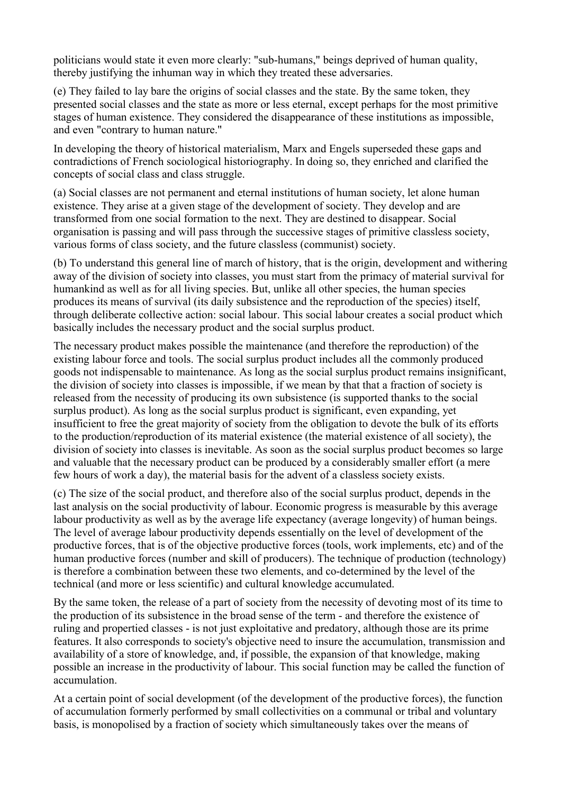politicians would state it even more clearly: "sub-humans," beings deprived of human quality, thereby justifying the inhuman way in which they treated these adversaries.

(e) They failed to lay bare the origins of social classes and the state. By the same token, they presented social classes and the state as more or less eternal, except perhaps for the most primitive stages of human existence. They considered the disappearance of these institutions as impossible, and even "contrary to human nature."

In developing the theory of historical materialism, Marx and Engels superseded these gaps and contradictions of French sociological historiography. In doing so, they enriched and clarified the concepts of social class and class struggle.

(a) Social classes are not permanent and eternal institutions of human society, let alone human existence. They arise at a given stage of the development of society. They develop and are transformed from one social formation to the next. They are destined to disappear. Social organisation is passing and will pass through the successive stages of primitive classless society, various forms of class society, and the future classless (communist) society.

(b) To understand this general line of march of history, that is the origin, development and withering away of the division of society into classes, you must start from the primacy of material survival for humankind as well as for all living species. But, unlike all other species, the human species produces its means of survival (its daily subsistence and the reproduction of the species) itself, through deliberate collective action: social labour. This social labour creates a social product which basically includes the necessary product and the social surplus product.

The necessary product makes possible the maintenance (and therefore the reproduction) of the existing labour force and tools. The social surplus product includes all the commonly produced goods not indispensable to maintenance. As long as the social surplus product remains insignificant, the division of society into classes is impossible, if we mean by that that a fraction of society is released from the necessity of producing its own subsistence (is supported thanks to the social surplus product). As long as the social surplus product is significant, even expanding, yet insufficient to free the great majority of society from the obligation to devote the bulk of its efforts to the production/reproduction of its material existence (the material existence of all society), the division of society into classes is inevitable. As soon as the social surplus product becomes so large and valuable that the necessary product can be produced by a considerably smaller effort (a mere few hours of work a day), the material basis for the advent of a classless society exists.

(c) The size of the social product, and therefore also of the social surplus product, depends in the last analysis on the social productivity of labour. Economic progress is measurable by this average labour productivity as well as by the average life expectancy (average longevity) of human beings. The level of average labour productivity depends essentially on the level of development of the productive forces, that is of the objective productive forces (tools, work implements, etc) and of the human productive forces (number and skill of producers). The technique of production (technology) is therefore a combination between these two elements, and co-determined by the level of the technical (and more or less scientific) and cultural knowledge accumulated.

By the same token, the release of a part of society from the necessity of devoting most of its time to the production of its subsistence in the broad sense of the term - and therefore the existence of ruling and propertied classes - is not just exploitative and predatory, although those are its prime features. It also corresponds to society's objective need to insure the accumulation, transmission and availability of a store of knowledge, and, if possible, the expansion of that knowledge, making possible an increase in the productivity of labour. This social function may be called the function of accumulation.

At a certain point of social development (of the development of the productive forces), the function of accumulation formerly performed by small collectivities on a communal or tribal and voluntary basis, is monopolised by a fraction of society which simultaneously takes over the means of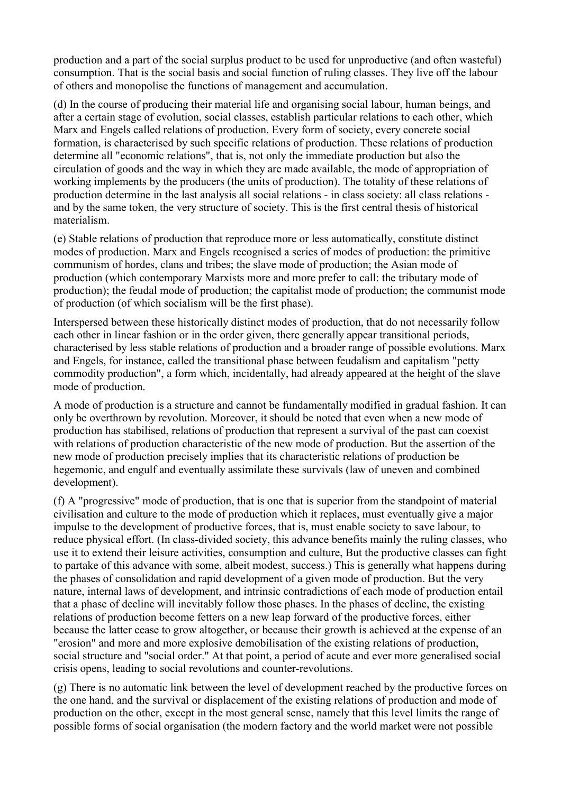production and a part of the social surplus product to be used for unproductive (and often wasteful) consumption. That is the social basis and social function of ruling classes. They live off the labour of others and monopolise the functions of management and accumulation.

(d) In the course of producing their material life and organising social labour, human beings, and after a certain stage of evolution, social classes, establish particular relations to each other, which Marx and Engels called relations of production. Every form of society, every concrete social formation, is characterised by such specific relations of production. These relations of production determine all "economic relations", that is, not only the immediate production but also the circulation of goods and the way in which they are made available, the mode of appropriation of working implements by the producers (the units of production). The totality of these relations of production determine in the last analysis all social relations - in class society: all class relations and by the same token, the very structure of society. This is the first central thesis of historical materialism.

(e) Stable relations of production that reproduce more or less automatically, constitute distinct modes of production. Marx and Engels recognised a series of modes of production: the primitive communism of hordes, clans and tribes; the slave mode of production; the Asian mode of production (which contemporary Marxists more and more prefer to call: the tributary mode of production); the feudal mode of production; the capitalist mode of production; the communist mode of production (of which socialism will be the first phase).

Interspersed between these historically distinct modes of production, that do not necessarily follow each other in linear fashion or in the order given, there generally appear transitional periods, characterised by less stable relations of production and a broader range of possible evolutions. Marx and Engels, for instance, called the transitional phase between feudalism and capitalism "petty commodity production", a form which, incidentally, had already appeared at the height of the slave mode of production.

A mode of production is a structure and cannot be fundamentally modified in gradual fashion. It can only be overthrown by revolution. Moreover, it should be noted that even when a new mode of production has stabilised, relations of production that represent a survival of the past can coexist with relations of production characteristic of the new mode of production. But the assertion of the new mode of production precisely implies that its characteristic relations of production be hegemonic, and engulf and eventually assimilate these survivals (law of uneven and combined development).

(f) A "progressive" mode of production, that is one that is superior from the standpoint of material civilisation and culture to the mode of production which it replaces, must eventually give a major impulse to the development of productive forces, that is, must enable society to save labour, to reduce physical effort. (In class-divided society, this advance benefits mainly the ruling classes, who use it to extend their leisure activities, consumption and culture, But the productive classes can fight to partake of this advance with some, albeit modest, success.) This is generally what happens during the phases of consolidation and rapid development of a given mode of production. But the very nature, internal laws of development, and intrinsic contradictions of each mode of production entail that a phase of decline will inevitably follow those phases. In the phases of decline, the existing relations of production become fetters on a new leap forward of the productive forces, either because the latter cease to grow altogether, or because their growth is achieved at the expense of an "erosion" and more and more explosive demobilisation of the existing relations of production, social structure and "social order." At that point, a period of acute and ever more generalised social crisis opens, leading to social revolutions and counter-revolutions.

(g) There is no automatic link between the level of development reached by the productive forces on the one hand, and the survival or displacement of the existing relations of production and mode of production on the other, except in the most general sense, namely that this level limits the range of possible forms of social organisation (the modern factory and the world market were not possible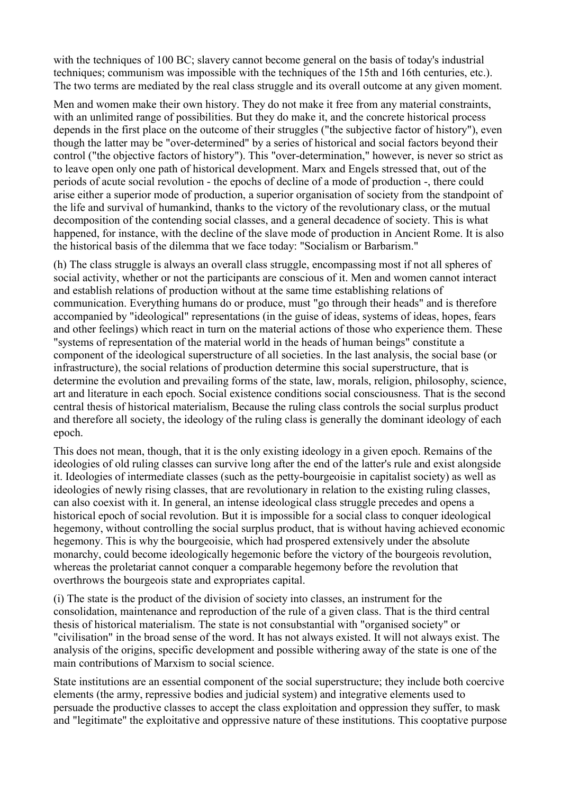with the techniques of 100 BC; slavery cannot become general on the basis of today's industrial techniques; communism was impossible with the techniques of the 15th and 16th centuries, etc.). The two terms are mediated by the real class struggle and its overall outcome at any given moment.

Men and women make their own history. They do not make it free from any material constraints, with an unlimited range of possibilities. But they do make it, and the concrete historical process depends in the first place on the outcome of their struggles ("the subjective factor of history"), even though the latter may be "over-determined" by a series of historical and social factors beyond their control ("the objective factors of history"). This "over-determination," however, is never so strict as to leave open only one path of historical development. Marx and Engels stressed that, out of the periods of acute social revolution - the epochs of decline of a mode of production -, there could arise either a superior mode of production, a superior organisation of society from the standpoint of the life and survival of humankind, thanks to the victory of the revolutionary class, or the mutual decomposition of the contending social classes, and a general decadence of society. This is what happened, for instance, with the decline of the slave mode of production in Ancient Rome. It is also the historical basis of the dilemma that we face today: "Socialism or Barbarism."

(h) The class struggle is always an overall class struggle, encompassing most if not all spheres of social activity, whether or not the participants are conscious of it. Men and women cannot interact and establish relations of production without at the same time establishing relations of communication. Everything humans do or produce, must "go through their heads" and is therefore accompanied by "ideological" representations (in the guise of ideas, systems of ideas, hopes, fears and other feelings) which react in turn on the material actions of those who experience them. These "systems of representation of the material world in the heads of human beings" constitute a component of the ideological superstructure of all societies. In the last analysis, the social base (or infrastructure), the social relations of production determine this social superstructure, that is determine the evolution and prevailing forms of the state, law, morals, religion, philosophy, science, art and literature in each epoch. Social existence conditions social consciousness. That is the second central thesis of historical materialism, Because the ruling class controls the social surplus product and therefore all society, the ideology of the ruling class is generally the dominant ideology of each epoch.

This does not mean, though, that it is the only existing ideology in a given epoch. Remains of the ideologies of old ruling classes can survive long after the end of the latter's rule and exist alongside it. Ideologies of intermediate classes (such as the petty-bourgeoisie in capitalist society) as well as ideologies of newly rising classes, that are revolutionary in relation to the existing ruling classes, can also coexist with it. In general, an intense ideological class struggle precedes and opens a historical epoch of social revolution. But it is impossible for a social class to conquer ideological hegemony, without controlling the social surplus product, that is without having achieved economic hegemony. This is why the bourgeoisie, which had prospered extensively under the absolute monarchy, could become ideologically hegemonic before the victory of the bourgeois revolution, whereas the proletariat cannot conquer a comparable hegemony before the revolution that overthrows the bourgeois state and expropriates capital.

(i) The state is the product of the division of society into classes, an instrument for the consolidation, maintenance and reproduction of the rule of a given class. That is the third central thesis of historical materialism. The state is not consubstantial with "organised society" or "civilisation" in the broad sense of the word. It has not always existed. It will not always exist. The analysis of the origins, specific development and possible withering away of the state is one of the main contributions of Marxism to social science.

State institutions are an essential component of the social superstructure; they include both coercive elements (the army, repressive bodies and judicial system) and integrative elements used to persuade the productive classes to accept the class exploitation and oppression they suffer, to mask and "legitimate" the exploitative and oppressive nature of these institutions. This cooptative purpose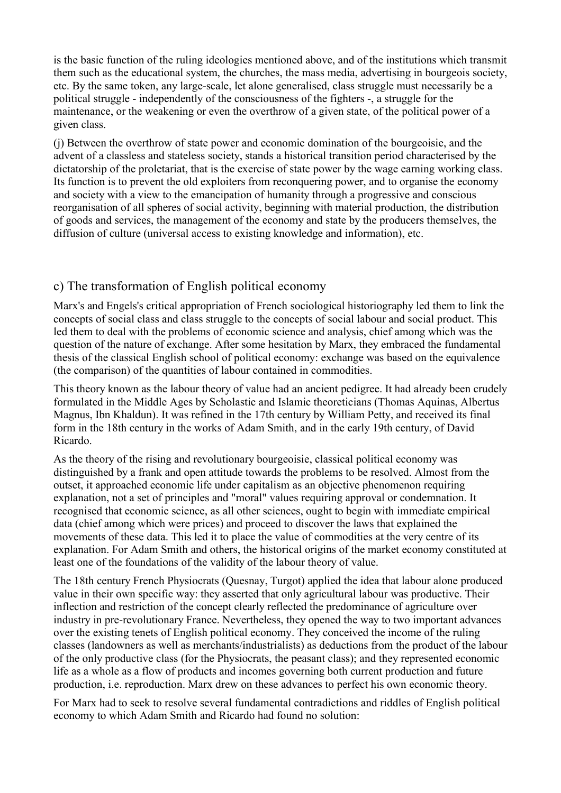is the basic function of the ruling ideologies mentioned above, and of the institutions which transmit them such as the educational system, the churches, the mass media, advertising in bourgeois society, etc. By the same token, any large-scale, let alone generalised, class struggle must necessarily be a political struggle - independently of the consciousness of the fighters -, a struggle for the maintenance, or the weakening or even the overthrow of a given state, of the political power of a given class.

(j) Between the overthrow of state power and economic domination of the bourgeoisie, and the advent of a classless and stateless society, stands a historical transition period characterised by the dictatorship of the proletariat, that is the exercise of state power by the wage earning working class. Its function is to prevent the old exploiters from reconquering power, and to organise the economy and society with a view to the emancipation of humanity through a progressive and conscious reorganisation of all spheres of social activity, beginning with material production, the distribution of goods and services, the management of the economy and state by the producers themselves, the diffusion of culture (universal access to existing knowledge and information), etc.

# c) The transformation of English political economy

Marx's and Engels's critical appropriation of French sociological historiography led them to link the concepts of social class and class struggle to the concepts of social labour and social product. This led them to deal with the problems of economic science and analysis, chief among which was the question of the nature of exchange. After some hesitation by Marx, they embraced the fundamental thesis of the classical English school of political economy: exchange was based on the equivalence (the comparison) of the quantities of labour contained in commodities.

This theory known as the labour theory of value had an ancient pedigree. It had already been crudely formulated in the Middle Ages by Scholastic and Islamic theoreticians (Thomas Aquinas, Albertus Magnus, Ibn Khaldun). It was refined in the 17th century by William Petty, and received its final form in the 18th century in the works of Adam Smith, and in the early 19th century, of David Ricardo.

As the theory of the rising and revolutionary bourgeoisie, classical political economy was distinguished by a frank and open attitude towards the problems to be resolved. Almost from the outset, it approached economic life under capitalism as an objective phenomenon requiring explanation, not a set of principles and "moral" values requiring approval or condemnation. It recognised that economic science, as all other sciences, ought to begin with immediate empirical data (chief among which were prices) and proceed to discover the laws that explained the movements of these data. This led it to place the value of commodities at the very centre of its explanation. For Adam Smith and others, the historical origins of the market economy constituted at least one of the foundations of the validity of the labour theory of value.

The 18th century French Physiocrats (Quesnay, Turgot) applied the idea that labour alone produced value in their own specific way: they asserted that only agricultural labour was productive. Their inflection and restriction of the concept clearly reflected the predominance of agriculture over industry in pre-revolutionary France. Nevertheless, they opened the way to two important advances over the existing tenets of English political economy. They conceived the income of the ruling classes (landowners as well as merchants/industrialists) as deductions from the product of the labour of the only productive class (for the Physiocrats, the peasant class); and they represented economic life as a whole as a flow of products and incomes governing both current production and future production, i.e. reproduction. Marx drew on these advances to perfect his own economic theory.

For Marx had to seek to resolve several fundamental contradictions and riddles of English political economy to which Adam Smith and Ricardo had found no solution: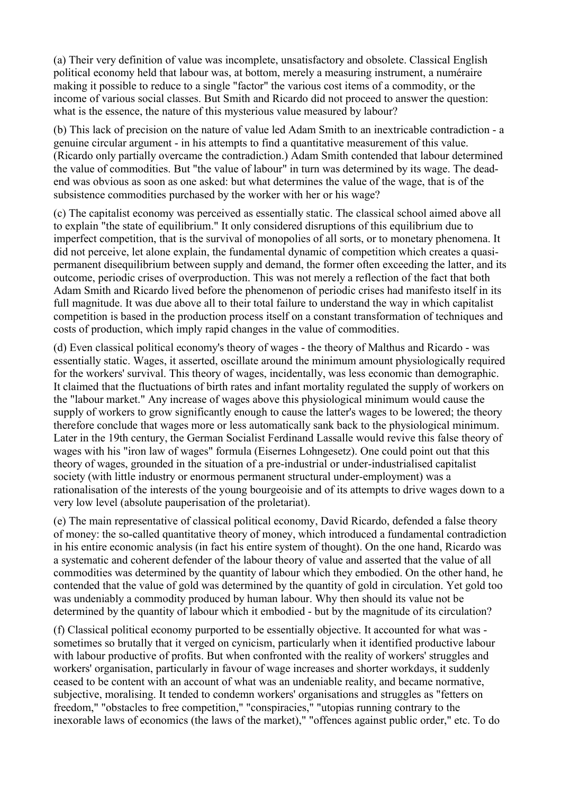(a) Their very definition of value was incomplete, unsatisfactory and obsolete. Classical English political economy held that labour was, at bottom, merely a measuring instrument, a numéraire making it possible to reduce to a single "factor" the various cost items of a commodity, or the income of various social classes. But Smith and Ricardo did not proceed to answer the question: what is the essence, the nature of this mysterious value measured by labour?

(b) This lack of precision on the nature of value led Adam Smith to an inextricable contradiction - a genuine circular argument - in his attempts to find a quantitative measurement of this value. (Ricardo only partially overcame the contradiction.) Adam Smith contended that labour determined the value of commodities. But "the value of labour" in turn was determined by its wage. The deadend was obvious as soon as one asked: but what determines the value of the wage, that is of the subsistence commodities purchased by the worker with her or his wage?

(c) The capitalist economy was perceived as essentially static. The classical school aimed above all to explain "the state of equilibrium." It only considered disruptions of this equilibrium due to imperfect competition, that is the survival of monopolies of all sorts, or to monetary phenomena. It did not perceive, let alone explain, the fundamental dynamic of competition which creates a quasipermanent disequilibrium between supply and demand, the former often exceeding the latter, and its outcome, periodic crises of overproduction. This was not merely a reflection of the fact that both Adam Smith and Ricardo lived before the phenomenon of periodic crises had manifesto itself in its full magnitude. It was due above all to their total failure to understand the way in which capitalist competition is based in the production process itself on a constant transformation of techniques and costs of production, which imply rapid changes in the value of commodities.

(d) Even classical political economy's theory of wages - the theory of Malthus and Ricardo - was essentially static. Wages, it asserted, oscillate around the minimum amount physiologically required for the workers' survival. This theory of wages, incidentally, was less economic than demographic. It claimed that the fluctuations of birth rates and infant mortality regulated the supply of workers on the "labour market." Any increase of wages above this physiological minimum would cause the supply of workers to grow significantly enough to cause the latter's wages to be lowered; the theory therefore conclude that wages more or less automatically sank back to the physiological minimum. Later in the 19th century, the German Socialist Ferdinand Lassalle would revive this false theory of wages with his "iron law of wages" formula (Eisernes Lohngesetz). One could point out that this theory of wages, grounded in the situation of a pre-industrial or under-industrialised capitalist society (with little industry or enormous permanent structural under-employment) was a rationalisation of the interests of the young bourgeoisie and of its attempts to drive wages down to a very low level (absolute pauperisation of the proletariat).

(e) The main representative of classical political economy, David Ricardo, defended a false theory of money: the so-called quantitative theory of money, which introduced a fundamental contradiction in his entire economic analysis (in fact his entire system of thought). On the one hand, Ricardo was a systematic and coherent defender of the labour theory of value and asserted that the value of all commodities was determined by the quantity of labour which they embodied. On the other hand, he contended that the value of gold was determined by the quantity of gold in circulation. Yet gold too was undeniably a commodity produced by human labour. Why then should its value not be determined by the quantity of labour which it embodied - but by the magnitude of its circulation?

(f) Classical political economy purported to be essentially objective. It accounted for what was sometimes so brutally that it verged on cynicism, particularly when it identified productive labour with labour productive of profits. But when confronted with the reality of workers' struggles and workers' organisation, particularly in favour of wage increases and shorter workdays, it suddenly ceased to be content with an account of what was an undeniable reality, and became normative, subjective, moralising. It tended to condemn workers' organisations and struggles as "fetters on freedom," "obstacles to free competition," "conspiracies," "utopias running contrary to the inexorable laws of economics (the laws of the market)," "offences against public order," etc. To do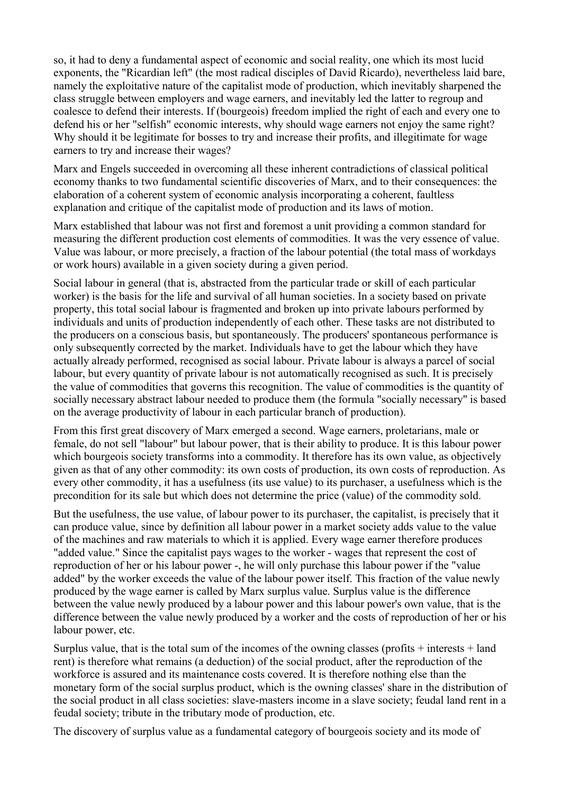so, it had to deny a fundamental aspect of economic and social reality, one which its most lucid exponents, the "Ricardian left" (the most radical disciples of David Ricardo), nevertheless laid bare, namely the exploitative nature of the capitalist mode of production, which inevitably sharpened the class struggle between employers and wage earners, and inevitably led the latter to regroup and coalesce to defend their interests. If (bourgeois) freedom implied the right of each and every one to defend his or her "selfish" economic interests, why should wage earners not enjoy the same right? Why should it be legitimate for bosses to try and increase their profits, and illegitimate for wage earners to try and increase their wages?

Marx and Engels succeeded in overcoming all these inherent contradictions of classical political economy thanks to two fundamental scientific discoveries of Marx, and to their consequences: the elaboration of a coherent system of economic analysis incorporating a coherent, faultless explanation and critique of the capitalist mode of production and its laws of motion.

Marx established that labour was not first and foremost a unit providing a common standard for measuring the different production cost elements of commodities. It was the very essence of value. Value was labour, or more precisely, a fraction of the labour potential (the total mass of workdays or work hours) available in a given society during a given period.

Social labour in general (that is, abstracted from the particular trade or skill of each particular worker) is the basis for the life and survival of all human societies. In a society based on private property, this total social labour is fragmented and broken up into private labours performed by individuals and units of production independently of each other. These tasks are not distributed to the producers on a conscious basis, but spontaneously. The producers' spontaneous performance is only subsequently corrected by the market. Individuals have to get the labour which they have actually already performed, recognised as social labour. Private labour is always a parcel of social labour, but every quantity of private labour is not automatically recognised as such. It is precisely the value of commodities that governs this recognition. The value of commodities is the quantity of socially necessary abstract labour needed to produce them (the formula "socially necessary" is based on the average productivity of labour in each particular branch of production).

From this first great discovery of Marx emerged a second. Wage earners, proletarians, male or female, do not sell "labour" but labour power, that is their ability to produce. It is this labour power which bourgeois society transforms into a commodity. It therefore has its own value, as objectively given as that of any other commodity: its own costs of production, its own costs of reproduction. As every other commodity, it has a usefulness (its use value) to its purchaser, a usefulness which is the precondition for its sale but which does not determine the price (value) of the commodity sold.

But the usefulness, the use value, of labour power to its purchaser, the capitalist, is precisely that it can produce value, since by definition all labour power in a market society adds value to the value of the machines and raw materials to which it is applied. Every wage earner therefore produces "added value." Since the capitalist pays wages to the worker - wages that represent the cost of reproduction of her or his labour power -, he will only purchase this labour power if the "value added" by the worker exceeds the value of the labour power itself. This fraction of the value newly produced by the wage earner is called by Marx surplus value. Surplus value is the difference between the value newly produced by a labour power and this labour power's own value, that is the difference between the value newly produced by a worker and the costs of reproduction of her or his labour power, etc.

Surplus value, that is the total sum of the incomes of the owning classes (profits  $+$  interests  $+$  land rent) is therefore what remains (a deduction) of the social product, after the reproduction of the workforce is assured and its maintenance costs covered. It is therefore nothing else than the monetary form of the social surplus product, which is the owning classes' share in the distribution of the social product in all class societies: slave-masters income in a slave society; feudal land rent in a feudal society; tribute in the tributary mode of production, etc.

The discovery of surplus value as a fundamental category of bourgeois society and its mode of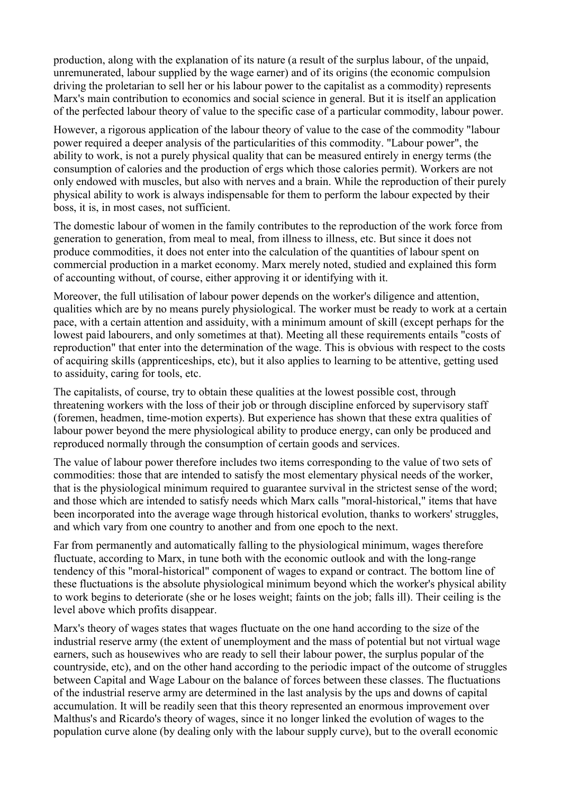production, along with the explanation of its nature (a result of the surplus labour, of the unpaid, unremunerated, labour supplied by the wage earner) and of its origins (the economic compulsion driving the proletarian to sell her or his labour power to the capitalist as a commodity) represents Marx's main contribution to economics and social science in general. But it is itself an application of the perfected labour theory of value to the specific case of a particular commodity, labour power.

However, a rigorous application of the labour theory of value to the case of the commodity "labour power required a deeper analysis of the particularities of this commodity. "Labour power", the ability to work, is not a purely physical quality that can be measured entirely in energy terms (the consumption of calories and the production of ergs which those calories permit). Workers are not only endowed with muscles, but also with nerves and a brain. While the reproduction of their purely physical ability to work is always indispensable for them to perform the labour expected by their boss, it is, in most cases, not sufficient.

The domestic labour of women in the family contributes to the reproduction of the work force from generation to generation, from meal to meal, from illness to illness, etc. But since it does not produce commodities, it does not enter into the calculation of the quantities of labour spent on commercial production in a market economy. Marx merely noted, studied and explained this form of accounting without, of course, either approving it or identifying with it.

Moreover, the full utilisation of labour power depends on the worker's diligence and attention, qualities which are by no means purely physiological. The worker must be ready to work at a certain pace, with a certain attention and assiduity, with a minimum amount of skill (except perhaps for the lowest paid labourers, and only sometimes at that). Meeting all these requirements entails "costs of reproduction" that enter into the determination of the wage. This is obvious with respect to the costs of acquiring skills (apprenticeships, etc), but it also applies to learning to be attentive, getting used to assiduity, caring for tools, etc.

The capitalists, of course, try to obtain these qualities at the lowest possible cost, through threatening workers with the loss of their job or through discipline enforced by supervisory staff (foremen, headmen, time-motion experts). But experience has shown that these extra qualities of labour power beyond the mere physiological ability to produce energy, can only be produced and reproduced normally through the consumption of certain goods and services.

The value of labour power therefore includes two items corresponding to the value of two sets of commodities: those that are intended to satisfy the most elementary physical needs of the worker, that is the physiological minimum required to guarantee survival in the strictest sense of the word; and those which are intended to satisfy needs which Marx calls "moral-historical," items that have been incorporated into the average wage through historical evolution, thanks to workers' struggles, and which vary from one country to another and from one epoch to the next.

Far from permanently and automatically falling to the physiological minimum, wages therefore fluctuate, according to Marx, in tune both with the economic outlook and with the long-range tendency of this "moral-historical" component of wages to expand or contract. The bottom line of these fluctuations is the absolute physiological minimum beyond which the worker's physical ability to work begins to deteriorate (she or he loses weight; faints on the job; falls ill). Their ceiling is the level above which profits disappear.

Marx's theory of wages states that wages fluctuate on the one hand according to the size of the industrial reserve army (the extent of unemployment and the mass of potential but not virtual wage earners, such as housewives who are ready to sell their labour power, the surplus popular of the countryside, etc), and on the other hand according to the periodic impact of the outcome of struggles between Capital and Wage Labour on the balance of forces between these classes. The fluctuations of the industrial reserve army are determined in the last analysis by the ups and downs of capital accumulation. It will be readily seen that this theory represented an enormous improvement over Malthus's and Ricardo's theory of wages, since it no longer linked the evolution of wages to the population curve alone (by dealing only with the labour supply curve), but to the overall economic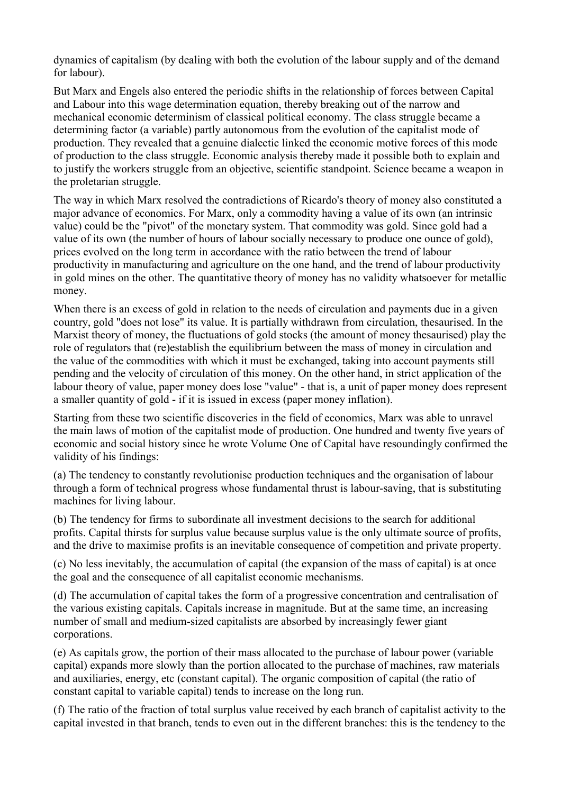dynamics of capitalism (by dealing with both the evolution of the labour supply and of the demand for labour).

But Marx and Engels also entered the periodic shifts in the relationship of forces between Capital and Labour into this wage determination equation, thereby breaking out of the narrow and mechanical economic determinism of classical political economy. The class struggle became a determining factor (a variable) partly autonomous from the evolution of the capitalist mode of production. They revealed that a genuine dialectic linked the economic motive forces of this mode of production to the class struggle. Economic analysis thereby made it possible both to explain and to justify the workers struggle from an objective, scientific standpoint. Science became a weapon in the proletarian struggle.

The way in which Marx resolved the contradictions of Ricardo's theory of money also constituted a major advance of economics. For Marx, only a commodity having a value of its own (an intrinsic value) could be the "pivot" of the monetary system. That commodity was gold. Since gold had a value of its own (the number of hours of labour socially necessary to produce one ounce of gold), prices evolved on the long term in accordance with the ratio between the trend of labour productivity in manufacturing and agriculture on the one hand, and the trend of labour productivity in gold mines on the other. The quantitative theory of money has no validity whatsoever for metallic money.

When there is an excess of gold in relation to the needs of circulation and payments due in a given country, gold "does not lose" its value. It is partially withdrawn from circulation, thesaurised. In the Marxist theory of money, the fluctuations of gold stocks (the amount of money thesaurised) play the role of regulators that (re)establish the equilibrium between the mass of money in circulation and the value of the commodities with which it must be exchanged, taking into account payments still pending and the velocity of circulation of this money. On the other hand, in strict application of the labour theory of value, paper money does lose "value" - that is, a unit of paper money does represent a smaller quantity of gold - if it is issued in excess (paper money inflation).

Starting from these two scientific discoveries in the field of economics, Marx was able to unravel the main laws of motion of the capitalist mode of production. One hundred and twenty five years of economic and social history since he wrote Volume One of Capital have resoundingly confirmed the validity of his findings:

(a) The tendency to constantly revolutionise production techniques and the organisation of labour through a form of technical progress whose fundamental thrust is labour-saving, that is substituting machines for living labour.

(b) The tendency for firms to subordinate all investment decisions to the search for additional profits. Capital thirsts for surplus value because surplus value is the only ultimate source of profits, and the drive to maximise profits is an inevitable consequence of competition and private property.

(c) No less inevitably, the accumulation of capital (the expansion of the mass of capital) is at once the goal and the consequence of all capitalist economic mechanisms.

(d) The accumulation of capital takes the form of a progressive concentration and centralisation of the various existing capitals. Capitals increase in magnitude. But at the same time, an increasing number of small and medium-sized capitalists are absorbed by increasingly fewer giant corporations.

(e) As capitals grow, the portion of their mass allocated to the purchase of labour power (variable capital) expands more slowly than the portion allocated to the purchase of machines, raw materials and auxiliaries, energy, etc (constant capital). The organic composition of capital (the ratio of constant capital to variable capital) tends to increase on the long run.

(f) The ratio of the fraction of total surplus value received by each branch of capitalist activity to the capital invested in that branch, tends to even out in the different branches: this is the tendency to the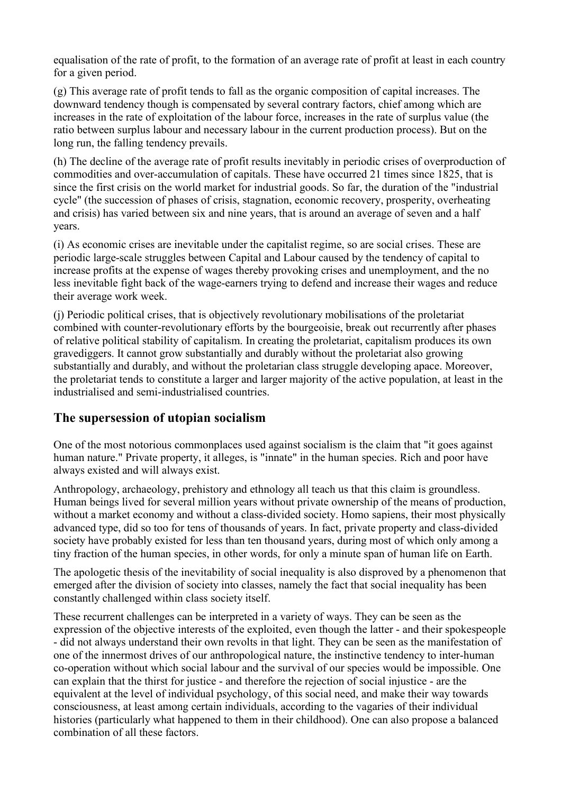equalisation of the rate of profit, to the formation of an average rate of profit at least in each country for a given period.

(g) This average rate of profit tends to fall as the organic composition of capital increases. The downward tendency though is compensated by several contrary factors, chief among which are increases in the rate of exploitation of the labour force, increases in the rate of surplus value (the ratio between surplus labour and necessary labour in the current production process). But on the long run, the falling tendency prevails.

(h) The decline of the average rate of profit results inevitably in periodic crises of overproduction of commodities and over-accumulation of capitals. These have occurred 21 times since 1825, that is since the first crisis on the world market for industrial goods. So far, the duration of the "industrial cycle" (the succession of phases of crisis, stagnation, economic recovery, prosperity, overheating and crisis) has varied between six and nine years, that is around an average of seven and a half years.

(i) As economic crises are inevitable under the capitalist regime, so are social crises. These are periodic large-scale struggles between Capital and Labour caused by the tendency of capital to increase profits at the expense of wages thereby provoking crises and unemployment, and the no less inevitable fight back of the wage-earners trying to defend and increase their wages and reduce their average work week.

(j) Periodic political crises, that is objectively revolutionary mobilisations of the proletariat combined with counter-revolutionary efforts by the bourgeoisie, break out recurrently after phases of relative political stability of capitalism. In creating the proletariat, capitalism produces its own gravediggers. It cannot grow substantially and durably without the proletariat also growing substantially and durably, and without the proletarian class struggle developing apace. Moreover, the proletariat tends to constitute a larger and larger majority of the active population, at least in the industrialised and semi-industrialised countries.

# **The supersession of utopian socialism**

One of the most notorious commonplaces used against socialism is the claim that "it goes against human nature." Private property, it alleges, is "innate" in the human species. Rich and poor have always existed and will always exist.

Anthropology, archaeology, prehistory and ethnology all teach us that this claim is groundless. Human beings lived for several million years without private ownership of the means of production, without a market economy and without a class-divided society. Homo sapiens, their most physically advanced type, did so too for tens of thousands of years. In fact, private property and class-divided society have probably existed for less than ten thousand years, during most of which only among a tiny fraction of the human species, in other words, for only a minute span of human life on Earth.

The apologetic thesis of the inevitability of social inequality is also disproved by a phenomenon that emerged after the division of society into classes, namely the fact that social inequality has been constantly challenged within class society itself.

These recurrent challenges can be interpreted in a variety of ways. They can be seen as the expression of the objective interests of the exploited, even though the latter - and their spokespeople - did not always understand their own revolts in that light. They can be seen as the manifestation of one of the innermost drives of our anthropological nature, the instinctive tendency to inter-human co-operation without which social labour and the survival of our species would be impossible. One can explain that the thirst for justice - and therefore the rejection of social injustice - are the equivalent at the level of individual psychology, of this social need, and make their way towards consciousness, at least among certain individuals, according to the vagaries of their individual histories (particularly what happened to them in their childhood). One can also propose a balanced combination of all these factors.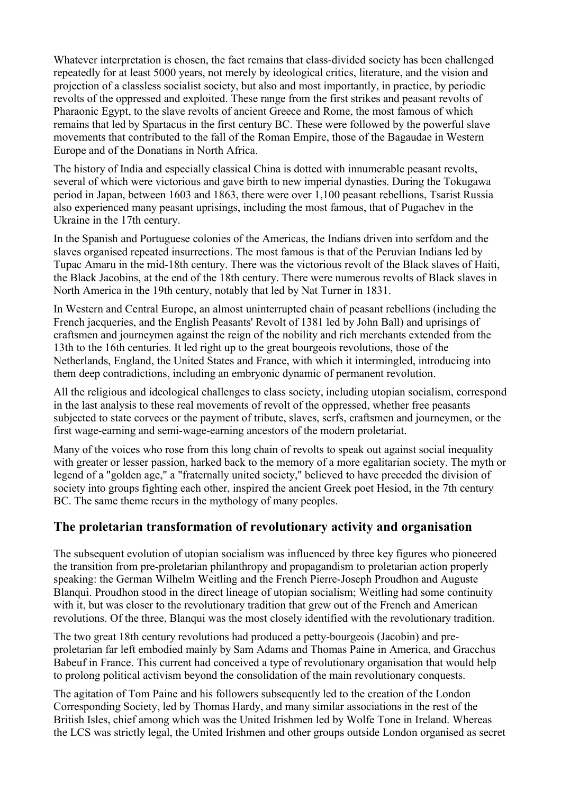Whatever interpretation is chosen, the fact remains that class-divided society has been challenged repeatedly for at least 5000 years, not merely by ideological critics, literature, and the vision and projection of a classless socialist society, but also and most importantly, in practice, by periodic revolts of the oppressed and exploited. These range from the first strikes and peasant revolts of Pharaonic Egypt, to the slave revolts of ancient Greece and Rome, the most famous of which remains that led by Spartacus in the first century BC. These were followed by the powerful slave movements that contributed to the fall of the Roman Empire, those of the Bagaudae in Western Europe and of the Donatians in North Africa.

The history of India and especially classical China is dotted with innumerable peasant revolts, several of which were victorious and gave birth to new imperial dynasties. During the Tokugawa period in Japan, between 1603 and 1863, there were over 1,100 peasant rebellions, Tsarist Russia also experienced many peasant uprisings, including the most famous, that of Pugachev in the Ukraine in the 17th century.

In the Spanish and Portuguese colonies of the Americas, the Indians driven into serfdom and the slaves organised repeated insurrections. The most famous is that of the Peruvian Indians led by Tupac Amaru in the mid-18th century. There was the victorious revolt of the Black slaves of Haiti, the Black Jacobins, at the end of the 18th century. There were numerous revolts of Black slaves in North America in the 19th century, notably that led by Nat Turner in 1831.

In Western and Central Europe, an almost uninterrupted chain of peasant rebellions (including the French jacqueries, and the English Peasants' Revolt of 1381 led by John Ball) and uprisings of craftsmen and journeymen against the reign of the nobility and rich merchants extended from the 13th to the 16th centuries. It led right up to the great bourgeois revolutions, those of the Netherlands, England, the United States and France, with which it intermingled, introducing into them deep contradictions, including an embryonic dynamic of permanent revolution.

All the religious and ideological challenges to class society, including utopian socialism, correspond in the last analysis to these real movements of revolt of the oppressed, whether free peasants subjected to state corvees or the payment of tribute, slaves, serfs, craftsmen and journeymen, or the first wage-earning and semi-wage-earning ancestors of the modern proletariat.

Many of the voices who rose from this long chain of revolts to speak out against social inequality with greater or lesser passion, harked back to the memory of a more egalitarian society. The myth or legend of a "golden age," a "fraternally united society," believed to have preceded the division of society into groups fighting each other, inspired the ancient Greek poet Hesiod, in the 7th century BC. The same theme recurs in the mythology of many peoples.

### **The proletarian transformation of revolutionary activity and organisation**

The subsequent evolution of utopian socialism was influenced by three key figures who pioneered the transition from pre-proletarian philanthropy and propagandism to proletarian action properly speaking: the German Wilhelm Weitling and the French Pierre-Joseph Proudhon and Auguste Blanqui. Proudhon stood in the direct lineage of utopian socialism; Weitling had some continuity with it, but was closer to the revolutionary tradition that grew out of the French and American revolutions. Of the three, Blanqui was the most closely identified with the revolutionary tradition.

The two great 18th century revolutions had produced a petty-bourgeois (Jacobin) and preproletarian far left embodied mainly by Sam Adams and Thomas Paine in America, and Gracchus Babeuf in France. This current had conceived a type of revolutionary organisation that would help to prolong political activism beyond the consolidation of the main revolutionary conquests.

The agitation of Tom Paine and his followers subsequently led to the creation of the London Corresponding Society, led by Thomas Hardy, and many similar associations in the rest of the British Isles, chief among which was the United Irishmen led by Wolfe Tone in Ireland. Whereas the LCS was strictly legal, the United Irishmen and other groups outside London organised as secret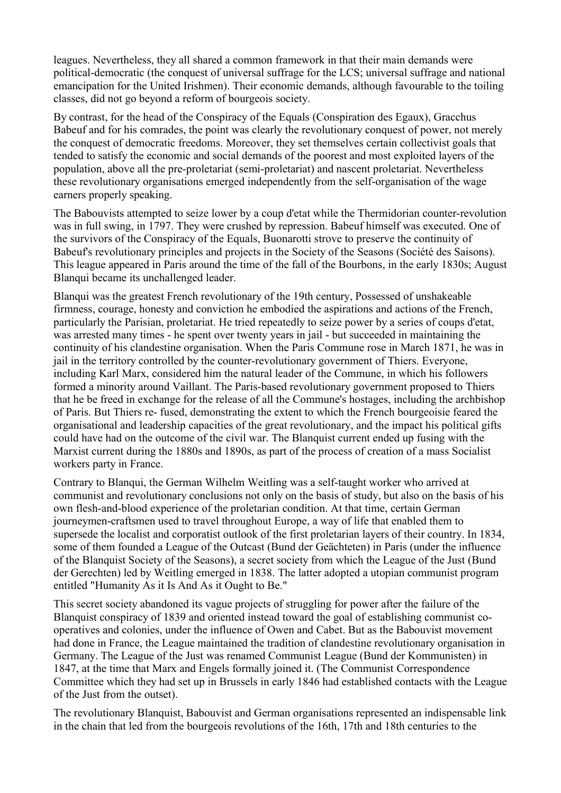leagues. Nevertheless, they all shared a common framework in that their main demands were political-democratic (the conquest of universal suffrage for the LCS; universal suffrage and national emancipation for the United Irishmen). Their economic demands, although favourable to the toiling classes, did not go beyond a reform of bourgeois society.

By contrast, for the head of the Conspiracy of the Equals (Conspiration des Egaux), Gracchus Babeuf and for his comrades, the point was clearly the revolutionary conquest of power, not merely the conquest of democratic freedoms. Moreover, they set themselves certain collectivist goals that tended to satisfy the economic and social demands of the poorest and most exploited layers of the population, above all the pre-proletariat (semi-proletariat) and nascent proletariat. Nevertheless these revolutionary organisations emerged independently from the self-organisation of the wage earners properly speaking.

The Babouvists attempted to seize lower by a coup d'etat while the Thermidorian counter-revolution was in full swing, in 1797. They were crushed by repression. Babeuf himself was executed. One of the survivors of the Conspiracy of the Equals, Buonarotti strove to preserve the continuity of Babeuf's revolutionary principles and projects in the Society of the Seasons (Société des Saisons). This league appeared in Paris around the time of the fall of the Bourbons, in the early 1830s; August Blanqui became its unchallenged leader.

Blanqui was the greatest French revolutionary of the 19th century, Possessed of unshakeable firmness, courage, honesty and conviction he embodied the aspirations and actions of the French, particularly the Parisian, proletariat. He tried repeatedly to seize power by a series of coups d'etat, was arrested many times - he spent over twenty years in jail - but succeeded in maintaining the continuity of his clandestine organisation. When the Paris Commune rose in March 1871, he was in jail in the territory controlled by the counter-revolutionary government of Thiers. Everyone, including Karl Marx, considered him the natural leader of the Commune, in which his followers formed a minority around Vaillant. The Paris-based revolutionary government proposed to Thiers that he be freed in exchange for the release of all the Commune's hostages, including the archbishop of Paris. But Thiers re- fused, demonstrating the extent to which the French bourgeoisie feared the organisational and leadership capacities of the great revolutionary, and the impact his political gifts could have had on the outcome of the civil war. The Blanquist current ended up fusing with the Marxist current during the 1880s and 1890s, as part of the process of creation of a mass Socialist workers party in France.

Contrary to Blanqui, the German Wilhelm Weitling was a self-taught worker who arrived at communist and revolutionary conclusions not only on the basis of study, but also on the basis of his own flesh-and-blood experience of the proletarian condition. At that time, certain German journeymen-craftsmen used to travel throughout Europe, a way of life that enabled them to supersede the localist and corporatist outlook of the first proletarian layers of their country. In 1834, some of them founded a League of the Outcast (Bund der Geächteten) in Paris (under the influence of the Blanquist Society of the Seasons), a secret society from which the League of the Just (Bund der Gerechten) led by Weitling emerged in 1838. The latter adopted a utopian communist program entitled "Humanity As it Is And As it Ought to Be."

This secret society abandoned its vague projects of struggling for power after the failure of the Blanquist conspiracy of 1839 and oriented instead toward the goal of establishing communist cooperatives and colonies, under the influence of Owen and Cabet. But as the Babouvist movement had done in France, the League maintained the tradition of clandestine revolutionary organisation in Germany. The League of the Just was renamed Communist League (Bund der Kommunisten) in 1847, at the time that Marx and Engels formally joined it. (The Communist Correspondence Committee which they had set up in Brussels in early 1846 had established contacts with the League of the Just from the outset).

The revolutionary Blanquist, Babouvist and German organisations represented an indispensable link in the chain that led from the bourgeois revolutions of the 16th, 17th and 18th centuries to the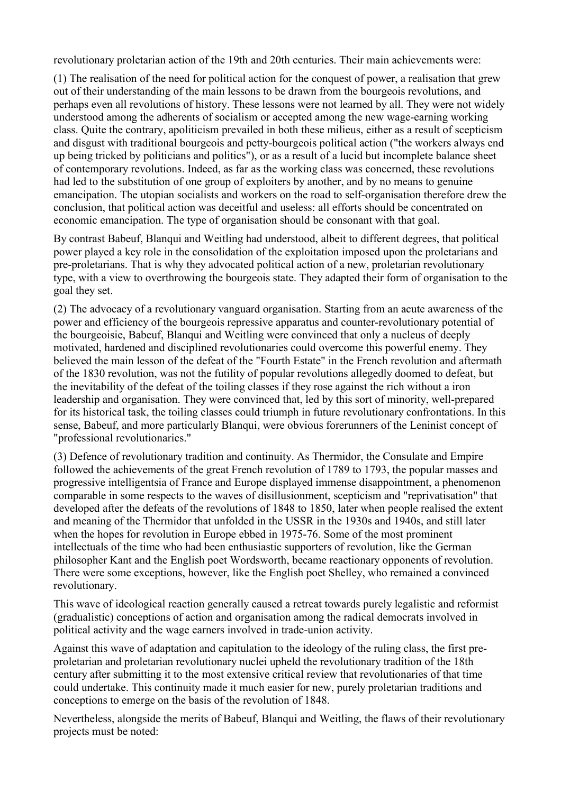revolutionary proletarian action of the 19th and 20th centuries. Their main achievements were:

(1) The realisation of the need for political action for the conquest of power, a realisation that grew out of their understanding of the main lessons to be drawn from the bourgeois revolutions, and perhaps even all revolutions of history. These lessons were not learned by all. They were not widely understood among the adherents of socialism or accepted among the new wage-earning working class. Quite the contrary, apoliticism prevailed in both these milieus, either as a result of scepticism and disgust with traditional bourgeois and petty-bourgeois political action ("the workers always end up being tricked by politicians and politics"), or as a result of a lucid but incomplete balance sheet of contemporary revolutions. Indeed, as far as the working class was concerned, these revolutions had led to the substitution of one group of exploiters by another, and by no means to genuine emancipation. The utopian socialists and workers on the road to self-organisation therefore drew the conclusion, that political action was deceitful and useless: all efforts should be concentrated on economic emancipation. The type of organisation should be consonant with that goal.

By contrast Babeuf, Blanqui and Weitling had understood, albeit to different degrees, that political power played a key role in the consolidation of the exploitation imposed upon the proletarians and pre-proletarians. That is why they advocated political action of a new, proletarian revolutionary type, with a view to overthrowing the bourgeois state. They adapted their form of organisation to the goal they set.

(2) The advocacy of a revolutionary vanguard organisation. Starting from an acute awareness of the power and efficiency of the bourgeois repressive apparatus and counter-revolutionary potential of the bourgeoisie, Babeuf, Blanqui and Weitling were convinced that only a nucleus of deeply motivated, hardened and disciplined revolutionaries could overcome this powerful enemy. They believed the main lesson of the defeat of the "Fourth Estate" in the French revolution and aftermath of the 1830 revolution, was not the futility of popular revolutions allegedly doomed to defeat, but the inevitability of the defeat of the toiling classes if they rose against the rich without a iron leadership and organisation. They were convinced that, led by this sort of minority, well-prepared for its historical task, the toiling classes could triumph in future revolutionary confrontations. In this sense, Babeuf, and more particularly Blanqui, were obvious forerunners of the Leninist concept of "professional revolutionaries."

(3) Defence of revolutionary tradition and continuity. As Thermidor, the Consulate and Empire followed the achievements of the great French revolution of 1789 to 1793, the popular masses and progressive intelligentsia of France and Europe displayed immense disappointment, a phenomenon comparable in some respects to the waves of disillusionment, scepticism and "reprivatisation" that developed after the defeats of the revolutions of 1848 to 1850, later when people realised the extent and meaning of the Thermidor that unfolded in the USSR in the 1930s and 1940s, and still later when the hopes for revolution in Europe ebbed in 1975-76. Some of the most prominent intellectuals of the time who had been enthusiastic supporters of revolution, like the German philosopher Kant and the English poet Wordsworth, became reactionary opponents of revolution. There were some exceptions, however, like the English poet Shelley, who remained a convinced revolutionary.

This wave of ideological reaction generally caused a retreat towards purely legalistic and reformist (gradualistic) conceptions of action and organisation among the radical democrats involved in political activity and the wage earners involved in trade-union activity.

Against this wave of adaptation and capitulation to the ideology of the ruling class, the first preproletarian and proletarian revolutionary nuclei upheld the revolutionary tradition of the 18th century after submitting it to the most extensive critical review that revolutionaries of that time could undertake. This continuity made it much easier for new, purely proletarian traditions and conceptions to emerge on the basis of the revolution of 1848.

Nevertheless, alongside the merits of Babeuf, Blanqui and Weitling, the flaws of their revolutionary projects must be noted: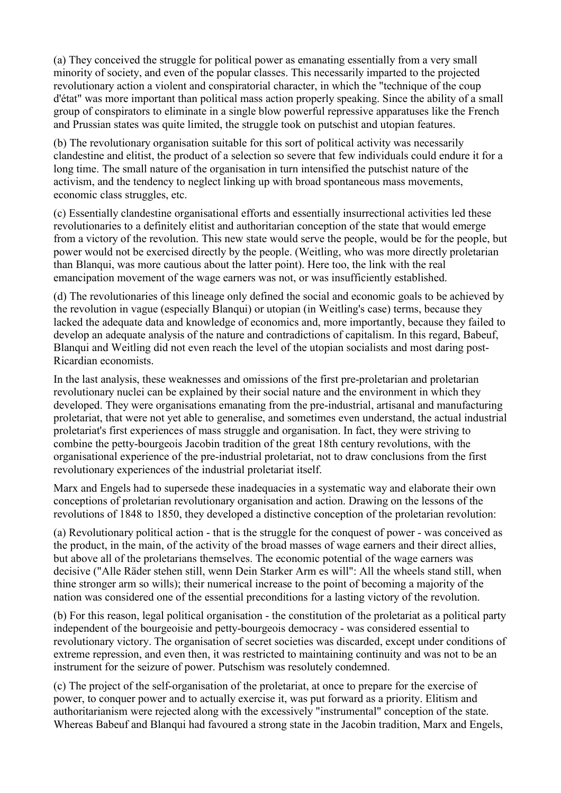(a) They conceived the struggle for political power as emanating essentially from a very small minority of society, and even of the popular classes. This necessarily imparted to the projected revolutionary action a violent and conspiratorial character, in which the "technique of the coup d'état" was more important than political mass action properly speaking. Since the ability of a small group of conspirators to eliminate in a single blow powerful repressive apparatuses like the French and Prussian states was quite limited, the struggle took on putschist and utopian features.

(b) The revolutionary organisation suitable for this sort of political activity was necessarily clandestine and elitist, the product of a selection so severe that few individuals could endure it for a long time. The small nature of the organisation in turn intensified the putschist nature of the activism, and the tendency to neglect linking up with broad spontaneous mass movements, economic class struggles, etc.

(c) Essentially clandestine organisational efforts and essentially insurrectional activities led these revolutionaries to a definitely elitist and authoritarian conception of the state that would emerge from a victory of the revolution. This new state would serve the people, would be for the people, but power would not be exercised directly by the people. (Weitling, who was more directly proletarian than Blanqui, was more cautious about the latter point). Here too, the link with the real emancipation movement of the wage earners was not, or was insufficiently established.

(d) The revolutionaries of this lineage only defined the social and economic goals to be achieved by the revolution in vague (especially Blanqui) or utopian (in Weitling's case) terms, because they lacked the adequate data and knowledge of economics and, more importantly, because they failed to develop an adequate analysis of the nature and contradictions of capitalism. In this regard, Babeuf, Blanqui and Weitling did not even reach the level of the utopian socialists and most daring post-Ricardian economists.

In the last analysis, these weaknesses and omissions of the first pre-proletarian and proletarian revolutionary nuclei can be explained by their social nature and the environment in which they developed. They were organisations emanating from the pre-industrial, artisanal and manufacturing proletariat, that were not yet able to generalise, and sometimes even understand, the actual industrial proletariat's first experiences of mass struggle and organisation. In fact, they were striving to combine the petty-bourgeois Jacobin tradition of the great 18th century revolutions, with the organisational experience of the pre-industrial proletariat, not to draw conclusions from the first revolutionary experiences of the industrial proletariat itself.

Marx and Engels had to supersede these inadequacies in a systematic way and elaborate their own conceptions of proletarian revolutionary organisation and action. Drawing on the lessons of the revolutions of 1848 to 1850, they developed a distinctive conception of the proletarian revolution:

(a) Revolutionary political action - that is the struggle for the conquest of power - was conceived as the product, in the main, of the activity of the broad masses of wage earners and their direct allies, but above all of the proletarians themselves. The economic potential of the wage earners was decisive ("Alle Räder stehen still, wenn Dein Starker Arm es will": All the wheels stand still, when thine stronger arm so wills); their numerical increase to the point of becoming a majority of the nation was considered one of the essential preconditions for a lasting victory of the revolution.

(b) For this reason, legal political organisation - the constitution of the proletariat as a political party independent of the bourgeoisie and petty-bourgeois democracy - was considered essential to revolutionary victory. The organisation of secret societies was discarded, except under conditions of extreme repression, and even then, it was restricted to maintaining continuity and was not to be an instrument for the seizure of power. Putschism was resolutely condemned.

(c) The project of the self-organisation of the proletariat, at once to prepare for the exercise of power, to conquer power and to actually exercise it, was put forward as a priority. Elitism and authoritarianism were rejected along with the excessively "instrumental" conception of the state. Whereas Babeuf and Blanqui had favoured a strong state in the Jacobin tradition, Marx and Engels,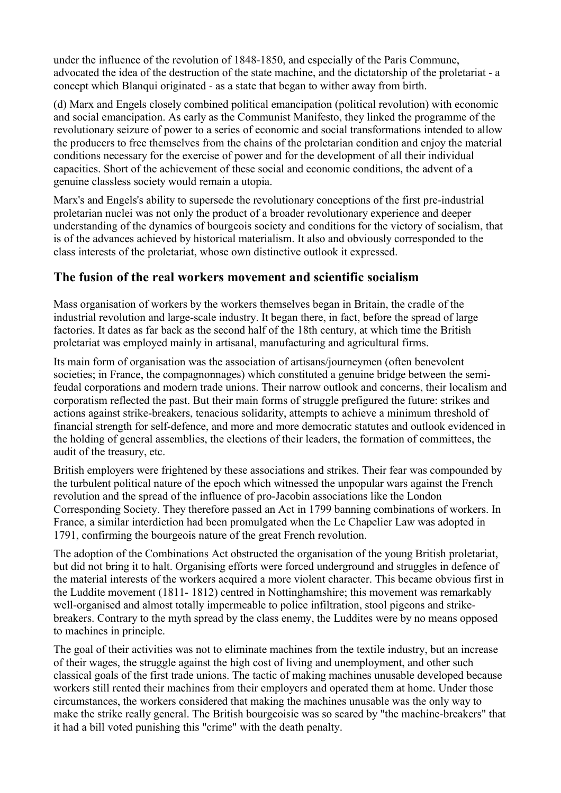under the influence of the revolution of 1848-1850, and especially of the Paris Commune, advocated the idea of the destruction of the state machine, and the dictatorship of the proletariat - a concept which Blanqui originated - as a state that began to wither away from birth.

(d) Marx and Engels closely combined political emancipation (political revolution) with economic and social emancipation. As early as the Communist Manifesto, they linked the programme of the revolutionary seizure of power to a series of economic and social transformations intended to allow the producers to free themselves from the chains of the proletarian condition and enjoy the material conditions necessary for the exercise of power and for the development of all their individual capacities. Short of the achievement of these social and economic conditions, the advent of a genuine classless society would remain a utopia.

Marx's and Engels's ability to supersede the revolutionary conceptions of the first pre-industrial proletarian nuclei was not only the product of a broader revolutionary experience and deeper understanding of the dynamics of bourgeois society and conditions for the victory of socialism, that is of the advances achieved by historical materialism. It also and obviously corresponded to the class interests of the proletariat, whose own distinctive outlook it expressed.

### **The fusion of the real workers movement and scientific socialism**

Mass organisation of workers by the workers themselves began in Britain, the cradle of the industrial revolution and large-scale industry. It began there, in fact, before the spread of large factories. It dates as far back as the second half of the 18th century, at which time the British proletariat was employed mainly in artisanal, manufacturing and agricultural firms.

Its main form of organisation was the association of artisans/journeymen (often benevolent societies; in France, the compagnonnages) which constituted a genuine bridge between the semifeudal corporations and modern trade unions. Their narrow outlook and concerns, their localism and corporatism reflected the past. But their main forms of struggle prefigured the future: strikes and actions against strike-breakers, tenacious solidarity, attempts to achieve a minimum threshold of financial strength for self-defence, and more and more democratic statutes and outlook evidenced in the holding of general assemblies, the elections of their leaders, the formation of committees, the audit of the treasury, etc.

British employers were frightened by these associations and strikes. Their fear was compounded by the turbulent political nature of the epoch which witnessed the unpopular wars against the French revolution and the spread of the influence of pro-Jacobin associations like the London Corresponding Society. They therefore passed an Act in 1799 banning combinations of workers. In France, a similar interdiction had been promulgated when the Le Chapelier Law was adopted in 1791, confirming the bourgeois nature of the great French revolution.

The adoption of the Combinations Act obstructed the organisation of the young British proletariat, but did not bring it to halt. Organising efforts were forced underground and struggles in defence of the material interests of the workers acquired a more violent character. This became obvious first in the Luddite movement (1811- 1812) centred in Nottinghamshire; this movement was remarkably well-organised and almost totally impermeable to police infiltration, stool pigeons and strikebreakers. Contrary to the myth spread by the class enemy, the Luddites were by no means opposed to machines in principle.

The goal of their activities was not to eliminate machines from the textile industry, but an increase of their wages, the struggle against the high cost of living and unemployment, and other such classical goals of the first trade unions. The tactic of making machines unusable developed because workers still rented their machines from their employers and operated them at home. Under those circumstances, the workers considered that making the machines unusable was the only way to make the strike really general. The British bourgeoisie was so scared by "the machine-breakers" that it had a bill voted punishing this "crime" with the death penalty.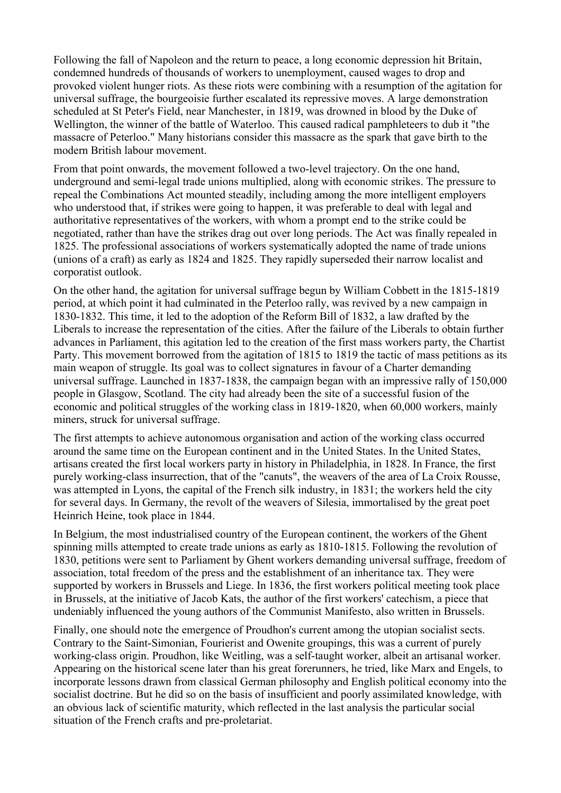Following the fall of Napoleon and the return to peace, a long economic depression hit Britain, condemned hundreds of thousands of workers to unemployment, caused wages to drop and provoked violent hunger riots. As these riots were combining with a resumption of the agitation for universal suffrage, the bourgeoisie further escalated its repressive moves. A large demonstration scheduled at St Peter's Field, near Manchester, in 1819, was drowned in blood by the Duke of Wellington, the winner of the battle of Waterloo. This caused radical pamphleteers to dub it "the massacre of Peterloo." Many historians consider this massacre as the spark that gave birth to the modern British labour movement.

From that point onwards, the movement followed a two-level trajectory. On the one hand, underground and semi-legal trade unions multiplied, along with economic strikes. The pressure to repeal the Combinations Act mounted steadily, including among the more intelligent employers who understood that, if strikes were going to happen, it was preferable to deal with legal and authoritative representatives of the workers, with whom a prompt end to the strike could be negotiated, rather than have the strikes drag out over long periods. The Act was finally repealed in 1825. The professional associations of workers systematically adopted the name of trade unions (unions of a craft) as early as 1824 and 1825. They rapidly superseded their narrow localist and corporatist outlook.

On the other hand, the agitation for universal suffrage begun by William Cobbett in the 1815-1819 period, at which point it had culminated in the Peterloo rally, was revived by a new campaign in 1830-1832. This time, it led to the adoption of the Reform Bill of 1832, a law drafted by the Liberals to increase the representation of the cities. After the failure of the Liberals to obtain further advances in Parliament, this agitation led to the creation of the first mass workers party, the Chartist Party. This movement borrowed from the agitation of 1815 to 1819 the tactic of mass petitions as its main weapon of struggle. Its goal was to collect signatures in favour of a Charter demanding universal suffrage. Launched in 1837-1838, the campaign began with an impressive rally of 150,000 people in Glasgow, Scotland. The city had already been the site of a successful fusion of the economic and political struggles of the working class in 1819-1820, when 60,000 workers, mainly miners, struck for universal suffrage.

The first attempts to achieve autonomous organisation and action of the working class occurred around the same time on the European continent and in the United States. In the United States, artisans created the first local workers party in history in Philadelphia, in 1828. In France, the first purely working-class insurrection, that of the "canuts", the weavers of the area of La Croix Rousse, was attempted in Lyons, the capital of the French silk industry, in 1831; the workers held the city for several days. In Germany, the revolt of the weavers of Silesia, immortalised by the great poet Heinrich Heine, took place in 1844.

In Belgium, the most industrialised country of the European continent, the workers of the Ghent spinning mills attempted to create trade unions as early as 1810-1815. Following the revolution of 1830, petitions were sent to Parliament by Ghent workers demanding universal suffrage, freedom of association, total freedom of the press and the establishment of an inheritance tax. They were supported by workers in Brussels and Liege. In 1836, the first workers political meeting took place in Brussels, at the initiative of Jacob Kats, the author of the first workers' catechism, a piece that undeniably influenced the young authors of the Communist Manifesto, also written in Brussels.

Finally, one should note the emergence of Proudhon's current among the utopian socialist sects. Contrary to the Saint-Simonian, Fourierist and Owenite groupings, this was a current of purely working-class origin. Proudhon, like Weitling, was a self-taught worker, albeit an artisanal worker. Appearing on the historical scene later than his great forerunners, he tried, like Marx and Engels, to incorporate lessons drawn from classical German philosophy and English political economy into the socialist doctrine. But he did so on the basis of insufficient and poorly assimilated knowledge, with an obvious lack of scientific maturity, which reflected in the last analysis the particular social situation of the French crafts and pre-proletariat.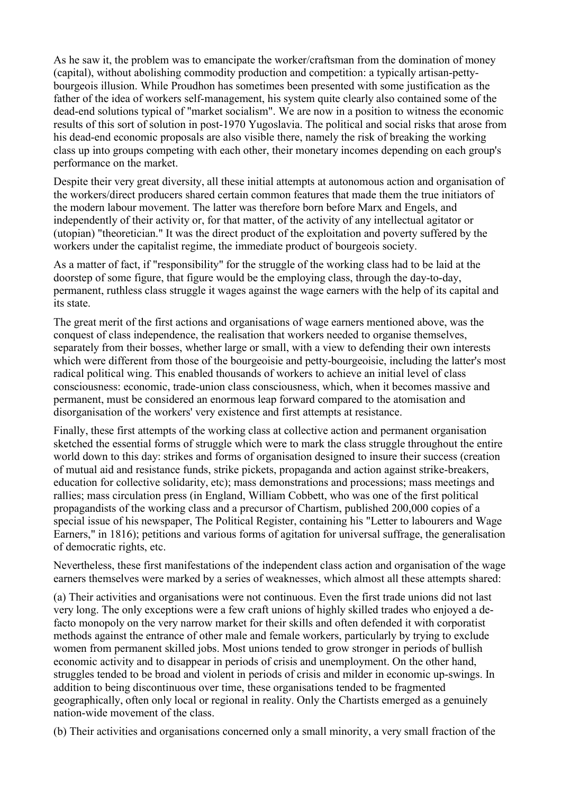As he saw it, the problem was to emancipate the worker/craftsman from the domination of money (capital), without abolishing commodity production and competition: a typically artisan-pettybourgeois illusion. While Proudhon has sometimes been presented with some justification as the father of the idea of workers self-management, his system quite clearly also contained some of the dead-end solutions typical of "market socialism". We are now in a position to witness the economic results of this sort of solution in post-1970 Yugoslavia. The political and social risks that arose from his dead-end economic proposals are also visible there, namely the risk of breaking the working class up into groups competing with each other, their monetary incomes depending on each group's performance on the market.

Despite their very great diversity, all these initial attempts at autonomous action and organisation of the workers/direct producers shared certain common features that made them the true initiators of the modern labour movement. The latter was therefore born before Marx and Engels, and independently of their activity or, for that matter, of the activity of any intellectual agitator or (utopian) "theoretician." It was the direct product of the exploitation and poverty suffered by the workers under the capitalist regime, the immediate product of bourgeois society.

As a matter of fact, if "responsibility" for the struggle of the working class had to be laid at the doorstep of some figure, that figure would be the employing class, through the day-to-day, permanent, ruthless class struggle it wages against the wage earners with the help of its capital and its state.

The great merit of the first actions and organisations of wage earners mentioned above, was the conquest of class independence, the realisation that workers needed to organise themselves, separately from their bosses, whether large or small, with a view to defending their own interests which were different from those of the bourgeoisie and petty-bourgeoisie, including the latter's most radical political wing. This enabled thousands of workers to achieve an initial level of class consciousness: economic, trade-union class consciousness, which, when it becomes massive and permanent, must be considered an enormous leap forward compared to the atomisation and disorganisation of the workers' very existence and first attempts at resistance.

Finally, these first attempts of the working class at collective action and permanent organisation sketched the essential forms of struggle which were to mark the class struggle throughout the entire world down to this day: strikes and forms of organisation designed to insure their success (creation of mutual aid and resistance funds, strike pickets, propaganda and action against strike-breakers, education for collective solidarity, etc); mass demonstrations and processions; mass meetings and rallies; mass circulation press (in England, William Cobbett, who was one of the first political propagandists of the working class and a precursor of Chartism, published 200,000 copies of a special issue of his newspaper, The Political Register, containing his "Letter to labourers and Wage Earners," in 1816); petitions and various forms of agitation for universal suffrage, the generalisation of democratic rights, etc.

Nevertheless, these first manifestations of the independent class action and organisation of the wage earners themselves were marked by a series of weaknesses, which almost all these attempts shared:

(a) Their activities and organisations were not continuous. Even the first trade unions did not last very long. The only exceptions were a few craft unions of highly skilled trades who enjoyed a defacto monopoly on the very narrow market for their skills and often defended it with corporatist methods against the entrance of other male and female workers, particularly by trying to exclude women from permanent skilled jobs. Most unions tended to grow stronger in periods of bullish economic activity and to disappear in periods of crisis and unemployment. On the other hand, struggles tended to be broad and violent in periods of crisis and milder in economic up-swings. In addition to being discontinuous over time, these organisations tended to be fragmented geographically, often only local or regional in reality. Only the Chartists emerged as a genuinely nation-wide movement of the class.

(b) Their activities and organisations concerned only a small minority, a very small fraction of the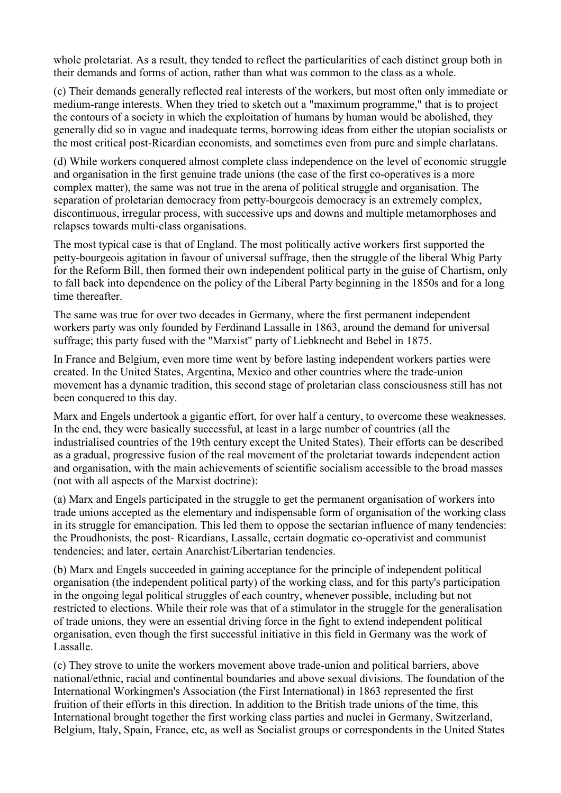whole proletariat. As a result, they tended to reflect the particularities of each distinct group both in their demands and forms of action, rather than what was common to the class as a whole.

(c) Their demands generally reflected real interests of the workers, but most often only immediate or medium-range interests. When they tried to sketch out a "maximum programme," that is to project the contours of a society in which the exploitation of humans by human would be abolished, they generally did so in vague and inadequate terms, borrowing ideas from either the utopian socialists or the most critical post-Ricardian economists, and sometimes even from pure and simple charlatans.

(d) While workers conquered almost complete class independence on the level of economic struggle and organisation in the first genuine trade unions (the case of the first co-operatives is a more complex matter), the same was not true in the arena of political struggle and organisation. The separation of proletarian democracy from petty-bourgeois democracy is an extremely complex, discontinuous, irregular process, with successive ups and downs and multiple metamorphoses and relapses towards multi-class organisations.

The most typical case is that of England. The most politically active workers first supported the petty-bourgeois agitation in favour of universal suffrage, then the struggle of the liberal Whig Party for the Reform Bill, then formed their own independent political party in the guise of Chartism, only to fall back into dependence on the policy of the Liberal Party beginning in the 1850s and for a long time thereafter.

The same was true for over two decades in Germany, where the first permanent independent workers party was only founded by Ferdinand Lassalle in 1863, around the demand for universal suffrage; this party fused with the "Marxist" party of Liebknecht and Bebel in 1875.

In France and Belgium, even more time went by before lasting independent workers parties were created. In the United States, Argentina, Mexico and other countries where the trade-union movement has a dynamic tradition, this second stage of proletarian class consciousness still has not been conquered to this day.

Marx and Engels undertook a gigantic effort, for over half a century, to overcome these weaknesses. In the end, they were basically successful, at least in a large number of countries (all the industrialised countries of the 19th century except the United States). Their efforts can be described as a gradual, progressive fusion of the real movement of the proletariat towards independent action and organisation, with the main achievements of scientific socialism accessible to the broad masses (not with all aspects of the Marxist doctrine):

(a) Marx and Engels participated in the struggle to get the permanent organisation of workers into trade unions accepted as the elementary and indispensable form of organisation of the working class in its struggle for emancipation. This led them to oppose the sectarian influence of many tendencies: the Proudhonists, the post- Ricardians, Lassalle, certain dogmatic co-operativist and communist tendencies; and later, certain Anarchist/Libertarian tendencies.

(b) Marx and Engels succeeded in gaining acceptance for the principle of independent political organisation (the independent political party) of the working class, and for this party's participation in the ongoing legal political struggles of each country, whenever possible, including but not restricted to elections. While their role was that of a stimulator in the struggle for the generalisation of trade unions, they were an essential driving force in the fight to extend independent political organisation, even though the first successful initiative in this field in Germany was the work of Lassalle.

(c) They strove to unite the workers movement above trade-union and political barriers, above national/ethnic, racial and continental boundaries and above sexual divisions. The foundation of the International Workingmen's Association (the First International) in 1863 represented the first fruition of their efforts in this direction. In addition to the British trade unions of the time, this International brought together the first working class parties and nuclei in Germany, Switzerland, Belgium, Italy, Spain, France, etc, as well as Socialist groups or correspondents in the United States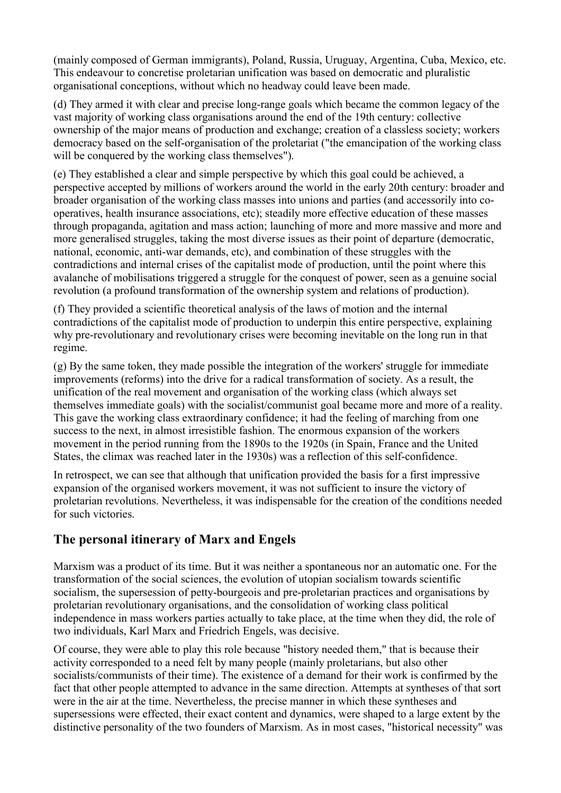(mainly composed of German immigrants), Poland, Russia, Uruguay, Argentina, Cuba, Mexico, etc. This endeavour to concretise proletarian unification was based on democratic and pluralistic organisational conceptions, without which no headway could leave been made.

(d) They armed it with clear and precise long-range goals which became the common legacy of the vast majority of working class organisations around the end of the 19th century: collective ownership of the major means of production and exchange; creation of a classless society; workers democracy based on the self-organisation of the proletariat ("the emancipation of the working class will be conquered by the working class themselves").

(e) They established a clear and simple perspective by which this goal could be achieved, a perspective accepted by millions of workers around the world in the early 20th century: broader and broader organisation of the working class masses into unions and parties (and accessorily into cooperatives, health insurance associations, etc); steadily more effective education of these masses through propaganda, agitation and mass action; launching of more and more massive and more and more generalised struggles, taking the most diverse issues as their point of departure (democratic, national, economic, anti-war demands, etc), and combination of these struggles with the contradictions and internal crises of the capitalist mode of production, until the point where this avalanche of mobilisations triggered a struggle for the conquest of power, seen as a genuine social revolution (a profound transformation of the ownership system and relations of production).

(f) They provided a scientific theoretical analysis of the laws of motion and the internal contradictions of the capitalist mode of production to underpin this entire perspective, explaining why pre-revolutionary and revolutionary crises were becoming inevitable on the long run in that regime.

(g) By the same token, they made possible the integration of the workers' struggle for immediate improvements (reforms) into the drive for a radical transformation of society. As a result, the unification of the real movement and organisation of the working class (which always set themselves immediate goals) with the socialist/communist goal became more and more of a reality. This gave the working class extraordinary confidence; it had the feeling of marching from one success to the next, in almost irresistible fashion. The enormous expansion of the workers movement in the period running from the 1890s to the 1920s (in Spain, France and the United States, the climax was reached later in the 1930s) was a reflection of this self-confidence.

In retrospect, we can see that although that unification provided the basis for a first impressive expansion of the organised workers movement, it was not sufficient to insure the victory of proletarian revolutions. Nevertheless, it was indispensable for the creation of the conditions needed for such victories.

# **The personal itinerary of Marx and Engels**

Marxism was a product of its time. But it was neither a spontaneous nor an automatic one. For the transformation of the social sciences, the evolution of utopian socialism towards scientific socialism, the supersession of petty-bourgeois and pre-proletarian practices and organisations by proletarian revolutionary organisations, and the consolidation of working class political independence in mass workers parties actually to take place, at the time when they did, the role of two individuals, Karl Marx and Friedrich Engels, was decisive.

Of course, they were able to play this role because "history needed them," that is because their activity corresponded to a need felt by many people (mainly proletarians, but also other socialists/communists of their time). The existence of a demand for their work is confirmed by the fact that other people attempted to advance in the same direction. Attempts at syntheses of that sort were in the air at the time. Nevertheless, the precise manner in which these syntheses and supersessions were effected, their exact content and dynamics, were shaped to a large extent by the distinctive personality of the two founders of Marxism. As in most cases, "historical necessity" was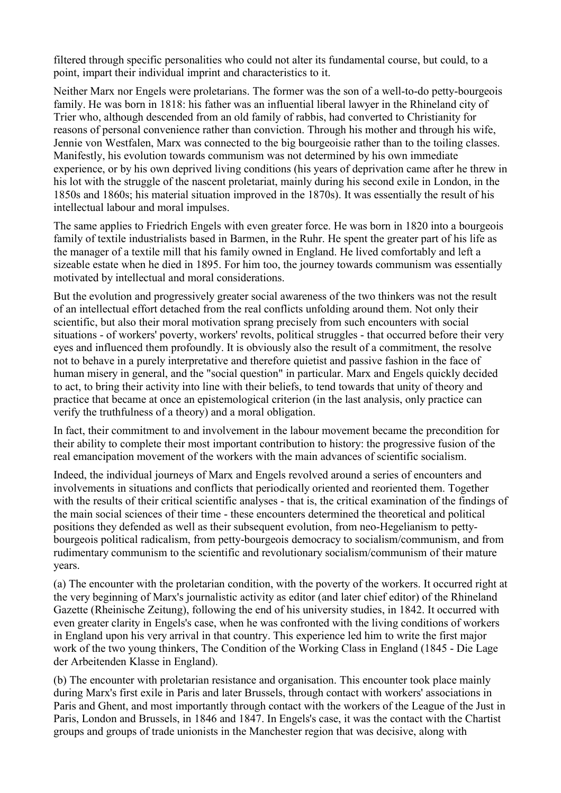filtered through specific personalities who could not alter its fundamental course, but could, to a point, impart their individual imprint and characteristics to it.

Neither Marx nor Engels were proletarians. The former was the son of a well-to-do petty-bourgeois family. He was born in 1818: his father was an influential liberal lawyer in the Rhineland city of Trier who, although descended from an old family of rabbis, had converted to Christianity for reasons of personal convenience rather than conviction. Through his mother and through his wife, Jennie von Westfalen, Marx was connected to the big bourgeoisie rather than to the toiling classes. Manifestly, his evolution towards communism was not determined by his own immediate experience, or by his own deprived living conditions (his years of deprivation came after he threw in his lot with the struggle of the nascent proletariat, mainly during his second exile in London, in the 1850s and 1860s; his material situation improved in the 1870s). It was essentially the result of his intellectual labour and moral impulses.

The same applies to Friedrich Engels with even greater force. He was born in 1820 into a bourgeois family of textile industrialists based in Barmen, in the Ruhr. He spent the greater part of his life as the manager of a textile mill that his family owned in England. He lived comfortably and left a sizeable estate when he died in 1895. For him too, the journey towards communism was essentially motivated by intellectual and moral considerations.

But the evolution and progressively greater social awareness of the two thinkers was not the result of an intellectual effort detached from the real conflicts unfolding around them. Not only their scientific, but also their moral motivation sprang precisely from such encounters with social situations - of workers' poverty, workers' revolts, political struggles - that occurred before their very eyes and influenced them profoundly. It is obviously also the result of a commitment, the resolve not to behave in a purely interpretative and therefore quietist and passive fashion in the face of human misery in general, and the "social question" in particular. Marx and Engels quickly decided to act, to bring their activity into line with their beliefs, to tend towards that unity of theory and practice that became at once an epistemological criterion (in the last analysis, only practice can verify the truthfulness of a theory) and a moral obligation.

In fact, their commitment to and involvement in the labour movement became the precondition for their ability to complete their most important contribution to history: the progressive fusion of the real emancipation movement of the workers with the main advances of scientific socialism.

Indeed, the individual journeys of Marx and Engels revolved around a series of encounters and involvements in situations and conflicts that periodically oriented and reoriented them. Together with the results of their critical scientific analyses - that is, the critical examination of the findings of the main social sciences of their time - these encounters determined the theoretical and political positions they defended as well as their subsequent evolution, from neo-Hegelianism to pettybourgeois political radicalism, from petty-bourgeois democracy to socialism/communism, and from rudimentary communism to the scientific and revolutionary socialism/communism of their mature years.

(a) The encounter with the proletarian condition, with the poverty of the workers. It occurred right at the very beginning of Marx's journalistic activity as editor (and later chief editor) of the Rhineland Gazette (Rheinische Zeitung), following the end of his university studies, in 1842. It occurred with even greater clarity in Engels's case, when he was confronted with the living conditions of workers in England upon his very arrival in that country. This experience led him to write the first major work of the two young thinkers, The Condition of the Working Class in England (1845 - Die Lage der Arbeitenden Klasse in England).

(b) The encounter with proletarian resistance and organisation. This encounter took place mainly during Marx's first exile in Paris and later Brussels, through contact with workers' associations in Paris and Ghent, and most importantly through contact with the workers of the League of the Just in Paris, London and Brussels, in 1846 and 1847. In Engels's case, it was the contact with the Chartist groups and groups of trade unionists in the Manchester region that was decisive, along with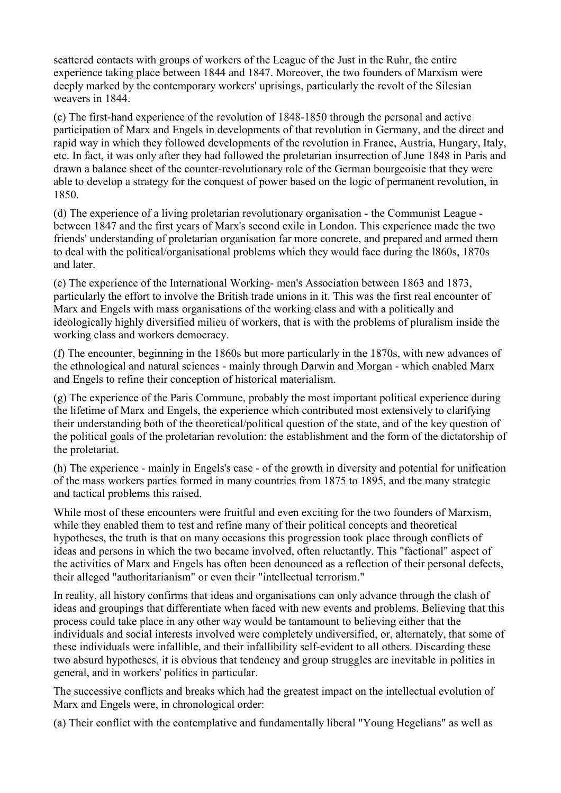scattered contacts with groups of workers of the League of the Just in the Ruhr, the entire experience taking place between 1844 and 1847. Moreover, the two founders of Marxism were deeply marked by the contemporary workers' uprisings, particularly the revolt of the Silesian weavers in 1844.

(c) The first-hand experience of the revolution of 1848-1850 through the personal and active participation of Marx and Engels in developments of that revolution in Germany, and the direct and rapid way in which they followed developments of the revolution in France, Austria, Hungary, Italy, etc. In fact, it was only after they had followed the proletarian insurrection of June 1848 in Paris and drawn a balance sheet of the counter-revolutionary role of the German bourgeoisie that they were able to develop a strategy for the conquest of power based on the logic of permanent revolution, in 1850.

(d) The experience of a living proletarian revolutionary organisation - the Communist League between 1847 and the first years of Marx's second exile in London. This experience made the two friends' understanding of proletarian organisation far more concrete, and prepared and armed them to deal with the political/organisational problems which they would face during the l860s, 1870s and later.

(e) The experience of the International Working- men's Association between 1863 and 1873, particularly the effort to involve the British trade unions in it. This was the first real encounter of Marx and Engels with mass organisations of the working class and with a politically and ideologically highly diversified milieu of workers, that is with the problems of pluralism inside the working class and workers democracy.

(f) The encounter, beginning in the 1860s but more particularly in the 1870s, with new advances of the ethnological and natural sciences - mainly through Darwin and Morgan - which enabled Marx and Engels to refine their conception of historical materialism.

(g) The experience of the Paris Commune, probably the most important political experience during the lifetime of Marx and Engels, the experience which contributed most extensively to clarifying their understanding both of the theoretical/political question of the state, and of the key question of the political goals of the proletarian revolution: the establishment and the form of the dictatorship of the proletariat.

(h) The experience - mainly in Engels's case - of the growth in diversity and potential for unification of the mass workers parties formed in many countries from 1875 to 1895, and the many strategic and tactical problems this raised.

While most of these encounters were fruitful and even exciting for the two founders of Marxism, while they enabled them to test and refine many of their political concepts and theoretical hypotheses, the truth is that on many occasions this progression took place through conflicts of ideas and persons in which the two became involved, often reluctantly. This "factional" aspect of the activities of Marx and Engels has often been denounced as a reflection of their personal defects, their alleged "authoritarianism" or even their "intellectual terrorism."

In reality, all history confirms that ideas and organisations can only advance through the clash of ideas and groupings that differentiate when faced with new events and problems. Believing that this process could take place in any other way would be tantamount to believing either that the individuals and social interests involved were completely undiversified, or, alternately, that some of these individuals were infallible, and their infallibility self-evident to all others. Discarding these two absurd hypotheses, it is obvious that tendency and group struggles are inevitable in politics in general, and in workers' politics in particular.

The successive conflicts and breaks which had the greatest impact on the intellectual evolution of Marx and Engels were, in chronological order:

(a) Their conflict with the contemplative and fundamentally liberal "Young Hegelians" as well as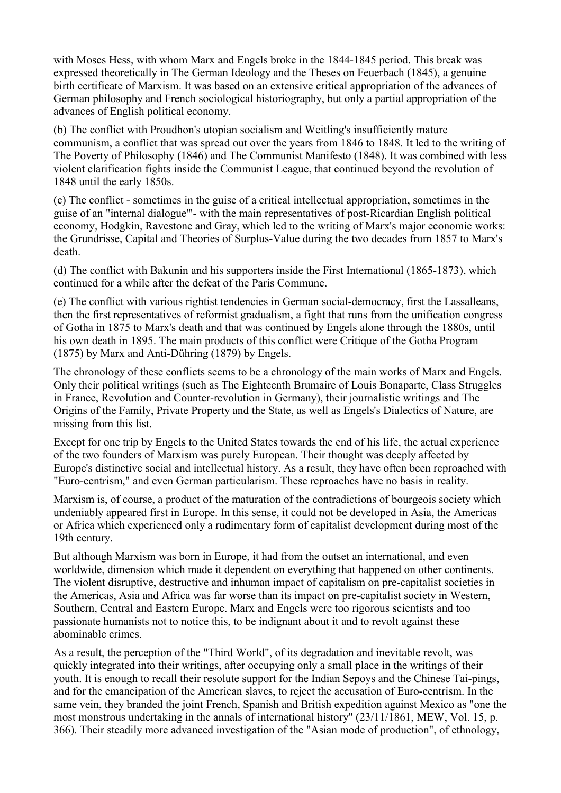with Moses Hess, with whom Marx and Engels broke in the 1844-1845 period. This break was expressed theoretically in The German Ideology and the Theses on Feuerbach (1845), a genuine birth certificate of Marxism. It was based on an extensive critical appropriation of the advances of German philosophy and French sociological historiography, but only a partial appropriation of the advances of English political economy.

(b) The conflict with Proudhon's utopian socialism and Weitling's insufficiently mature communism, a conflict that was spread out over the years from 1846 to 1848. It led to the writing of The Poverty of Philosophy (1846) and The Communist Manifesto (1848). It was combined with less violent clarification fights inside the Communist League, that continued beyond the revolution of 1848 until the early 1850s.

(c) The conflict - sometimes in the guise of a critical intellectual appropriation, sometimes in the guise of an "internal dialogue'"- with the main representatives of post-Ricardian English political economy, Hodgkin, Ravestone and Gray, which led to the writing of Marx's major economic works: the Grundrisse, Capital and Theories of Surplus-Value during the two decades from 1857 to Marx's death.

(d) The conflict with Bakunin and his supporters inside the First International (1865-1873), which continued for a while after the defeat of the Paris Commune.

(e) The conflict with various rightist tendencies in German social-democracy, first the Lassalleans, then the first representatives of reformist gradualism, a fight that runs from the unification congress of Gotha in 1875 to Marx's death and that was continued by Engels alone through the 1880s, until his own death in 1895. The main products of this conflict were Critique of the Gotha Program (1875) by Marx and Anti-Dühring (1879) by Engels.

The chronology of these conflicts seems to be a chronology of the main works of Marx and Engels. Only their political writings (such as The Eighteenth Brumaire of Louis Bonaparte, Class Struggles in France, Revolution and Counter-revolution in Germany), their journalistic writings and The Origins of the Family, Private Property and the State, as well as Engels's Dialectics of Nature, are missing from this list.

Except for one trip by Engels to the United States towards the end of his life, the actual experience of the two founders of Marxism was purely European. Their thought was deeply affected by Europe's distinctive social and intellectual history. As a result, they have often been reproached with "Euro-centrism," and even German particularism. These reproaches have no basis in reality.

Marxism is, of course, a product of the maturation of the contradictions of bourgeois society which undeniably appeared first in Europe. In this sense, it could not be developed in Asia, the Americas or Africa which experienced only a rudimentary form of capitalist development during most of the 19th century.

But although Marxism was born in Europe, it had from the outset an international, and even worldwide, dimension which made it dependent on everything that happened on other continents. The violent disruptive, destructive and inhuman impact of capitalism on pre-capitalist societies in the Americas, Asia and Africa was far worse than its impact on pre-capitalist society in Western, Southern, Central and Eastern Europe. Marx and Engels were too rigorous scientists and too passionate humanists not to notice this, to be indignant about it and to revolt against these abominable crimes.

As a result, the perception of the "Third World", of its degradation and inevitable revolt, was quickly integrated into their writings, after occupying only a small place in the writings of their youth. It is enough to recall their resolute support for the Indian Sepoys and the Chinese Tai-pings, and for the emancipation of the American slaves, to reject the accusation of Euro-centrism. In the same vein, they branded the joint French, Spanish and British expedition against Mexico as "one the most monstrous undertaking in the annals of international history" (23/11/1861, MEW, Vol. 15, p. 366). Their steadily more advanced investigation of the "Asian mode of production", of ethnology,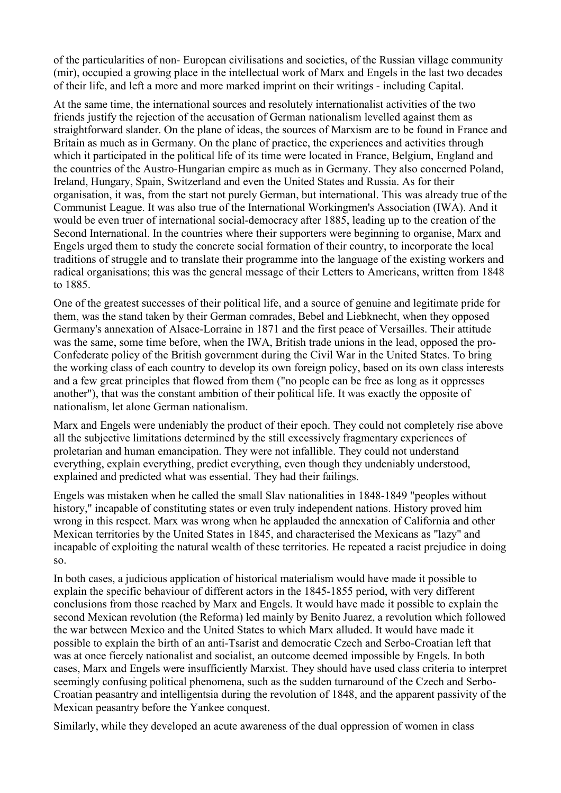of the particularities of non- European civilisations and societies, of the Russian village community (mir), occupied a growing place in the intellectual work of Marx and Engels in the last two decades of their life, and left a more and more marked imprint on their writings - including Capital.

At the same time, the international sources and resolutely internationalist activities of the two friends justify the rejection of the accusation of German nationalism levelled against them as straightforward slander. On the plane of ideas, the sources of Marxism are to be found in France and Britain as much as in Germany. On the plane of practice, the experiences and activities through which it participated in the political life of its time were located in France, Belgium, England and the countries of the Austro-Hungarian empire as much as in Germany. They also concerned Poland, Ireland, Hungary, Spain, Switzerland and even the United States and Russia. As for their organisation, it was, from the start not purely German, but international. This was already true of the Communist League. It was also true of the International Workingmen's Association (IWA). And it would be even truer of international social-democracy after 1885, leading up to the creation of the Second International. In the countries where their supporters were beginning to organise, Marx and Engels urged them to study the concrete social formation of their country, to incorporate the local traditions of struggle and to translate their programme into the language of the existing workers and radical organisations; this was the general message of their Letters to Americans, written from 1848 to 1885.

One of the greatest successes of their political life, and a source of genuine and legitimate pride for them, was the stand taken by their German comrades, Bebel and Liebknecht, when they opposed Germany's annexation of Alsace-Lorraine in 1871 and the first peace of Versailles. Their attitude was the same, some time before, when the IWA, British trade unions in the lead, opposed the pro-Confederate policy of the British government during the Civil War in the United States. To bring the working class of each country to develop its own foreign policy, based on its own class interests and a few great principles that flowed from them ("no people can be free as long as it oppresses another"), that was the constant ambition of their political life. It was exactly the opposite of nationalism, let alone German nationalism.

Marx and Engels were undeniably the product of their epoch. They could not completely rise above all the subjective limitations determined by the still excessively fragmentary experiences of proletarian and human emancipation. They were not infallible. They could not understand everything, explain everything, predict everything, even though they undeniably understood, explained and predicted what was essential. They had their failings.

Engels was mistaken when he called the small Slav nationalities in 1848-1849 "peoples without history," incapable of constituting states or even truly independent nations. History proved him wrong in this respect. Marx was wrong when he applauded the annexation of California and other Mexican territories by the United States in 1845, and characterised the Mexicans as "lazy" and incapable of exploiting the natural wealth of these territories. He repeated a racist prejudice in doing so.

In both cases, a judicious application of historical materialism would have made it possible to explain the specific behaviour of different actors in the 1845-1855 period, with very different conclusions from those reached by Marx and Engels. It would have made it possible to explain the second Mexican revolution (the Reforma) led mainly by Benito Juarez, a revolution which followed the war between Mexico and the United States to which Marx alluded. It would have made it possible to explain the birth of an anti-Tsarist and democratic Czech and Serbo-Croatian left that was at once fiercely nationalist and socialist, an outcome deemed impossible by Engels. In both cases, Marx and Engels were insufficiently Marxist. They should have used class criteria to interpret seemingly confusing political phenomena, such as the sudden turnaround of the Czech and Serbo-Croatian peasantry and intelligentsia during the revolution of 1848, and the apparent passivity of the Mexican peasantry before the Yankee conquest.

Similarly, while they developed an acute awareness of the dual oppression of women in class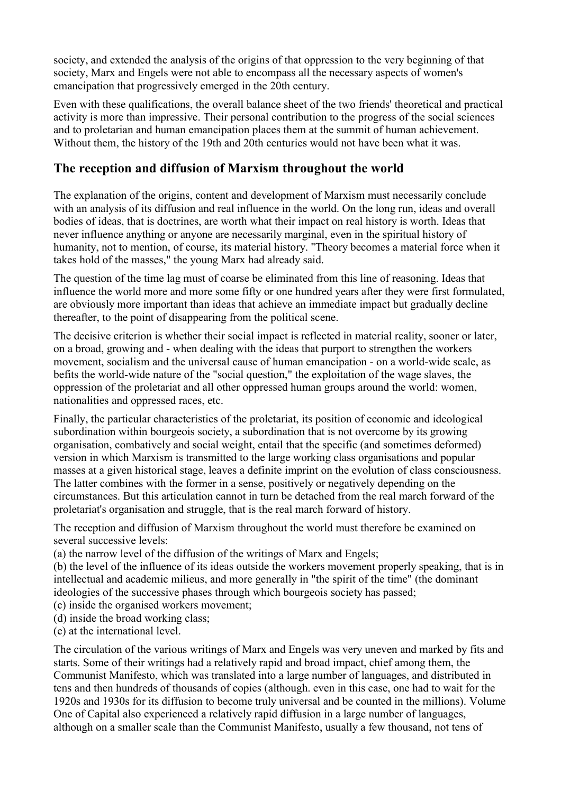society, and extended the analysis of the origins of that oppression to the very beginning of that society, Marx and Engels were not able to encompass all the necessary aspects of women's emancipation that progressively emerged in the 20th century.

Even with these qualifications, the overall balance sheet of the two friends' theoretical and practical activity is more than impressive. Their personal contribution to the progress of the social sciences and to proletarian and human emancipation places them at the summit of human achievement. Without them, the history of the 19th and 20th centuries would not have been what it was.

# **The reception and diffusion of Marxism throughout the world**

The explanation of the origins, content and development of Marxism must necessarily conclude with an analysis of its diffusion and real influence in the world. On the long run, ideas and overall bodies of ideas, that is doctrines, are worth what their impact on real history is worth. Ideas that never influence anything or anyone are necessarily marginal, even in the spiritual history of humanity, not to mention, of course, its material history. "Theory becomes a material force when it takes hold of the masses," the young Marx had already said.

The question of the time lag must of coarse be eliminated from this line of reasoning. Ideas that influence the world more and more some fifty or one hundred years after they were first formulated, are obviously more important than ideas that achieve an immediate impact but gradually decline thereafter, to the point of disappearing from the political scene.

The decisive criterion is whether their social impact is reflected in material reality, sooner or later, on a broad, growing and - when dealing with the ideas that purport to strengthen the workers movement, socialism and the universal cause of human emancipation - on a world-wide scale, as befits the world-wide nature of the "social question," the exploitation of the wage slaves, the oppression of the proletariat and all other oppressed human groups around the world: women, nationalities and oppressed races, etc.

Finally, the particular characteristics of the proletariat, its position of economic and ideological subordination within bourgeois society, a subordination that is not overcome by its growing organisation, combatively and social weight, entail that the specific (and sometimes deformed) version in which Marxism is transmitted to the large working class organisations and popular masses at a given historical stage, leaves a definite imprint on the evolution of class consciousness. The latter combines with the former in a sense, positively or negatively depending on the circumstances. But this articulation cannot in turn be detached from the real march forward of the proletariat's organisation and struggle, that is the real march forward of history.

The reception and diffusion of Marxism throughout the world must therefore be examined on several successive levels:

(a) the narrow level of the diffusion of the writings of Marx and Engels;

(b) the level of the influence of its ideas outside the workers movement properly speaking, that is in intellectual and academic milieus, and more generally in "the spirit of the time" (the dominant ideologies of the successive phases through which bourgeois society has passed;

- (c) inside the organised workers movement;
- (d) inside the broad working class;
- (e) at the international level.

The circulation of the various writings of Marx and Engels was very uneven and marked by fits and starts. Some of their writings had a relatively rapid and broad impact, chief among them, the Communist Manifesto, which was translated into a large number of languages, and distributed in tens and then hundreds of thousands of copies (although. even in this case, one had to wait for the 1920s and 1930s for its diffusion to become truly universal and be counted in the millions). Volume One of Capital also experienced a relatively rapid diffusion in a large number of languages, although on a smaller scale than the Communist Manifesto, usually a few thousand, not tens of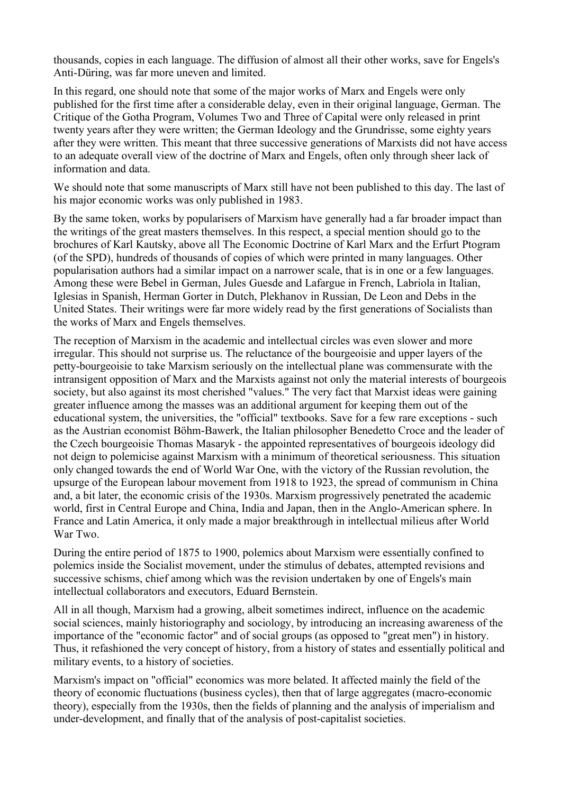thousands, copies in each language. The diffusion of almost all their other works, save for Engels's Anti-Düring, was far more uneven and limited.

In this regard, one should note that some of the major works of Marx and Engels were only published for the first time after a considerable delay, even in their original language, German. The Critique of the Gotha Program, Volumes Two and Three of Capital were only released in print twenty years after they were written; the German Ideology and the Grundrisse, some eighty years after they were written. This meant that three successive generations of Marxists did not have access to an adequate overall view of the doctrine of Marx and Engels, often only through sheer lack of information and data.

We should note that some manuscripts of Marx still have not been published to this day. The last of his major economic works was only published in 1983.

By the same token, works by popularisers of Marxism have generally had a far broader impact than the writings of the great masters themselves. In this respect, a special mention should go to the brochures of Karl Kautsky, above all The Economic Doctrine of Karl Marx and the Erfurt Ptogram (of the SPD), hundreds of thousands of copies of which were printed in many languages. Other popularisation authors had a similar impact on a narrower scale, that is in one or a few languages. Among these were Bebel in German, Jules Guesde and Lafargue in French, Labriola in Italian, Iglesias in Spanish, Herman Gorter in Dutch, Plekhanov in Russian, De Leon and Debs in the United States. Their writings were far more widely read by the first generations of Socialists than the works of Marx and Engels themselves.

The reception of Marxism in the academic and intellectual circles was even slower and more irregular. This should not surprise us. The reluctance of the bourgeoisie and upper layers of the petty-bourgeoisie to take Marxism seriously on the intellectual plane was commensurate with the intransigent opposition of Marx and the Marxists against not only the material interests of bourgeois society, but also against its most cherished "values." The very fact that Marxist ideas were gaining greater influence among the masses was an additional argument for keeping them out of the educational system, the universities, the "official" textbooks. Save for a few rare exceptions - such as the Austrian economist Böhm-Bawerk, the Italian philosopher Benedetto Croce and the leader of the Czech bourgeoisie Thomas Masaryk - the appointed representatives of bourgeois ideology did not deign to polemicise against Marxism with a minimum of theoretical seriousness. This situation only changed towards the end of World War One, with the victory of the Russian revolution, the upsurge of the European labour movement from 1918 to 1923, the spread of communism in China and, a bit later, the economic crisis of the 1930s. Marxism progressively penetrated the academic world, first in Central Europe and China, India and Japan, then in the Anglo-American sphere. In France and Latin America, it only made a major breakthrough in intellectual milieus after World War Two.

During the entire period of 1875 to 1900, polemics about Marxism were essentially confined to polemics inside the Socialist movement, under the stimulus of debates, attempted revisions and successive schisms, chief among which was the revision undertaken by one of Engels's main intellectual collaborators and executors, Eduard Bernstein.

All in all though, Marxism had a growing, albeit sometimes indirect, influence on the academic social sciences, mainly historiography and sociology, by introducing an increasing awareness of the importance of the "economic factor" and of social groups (as opposed to "great men") in history. Thus, it refashioned the very concept of history, from a history of states and essentially political and military events, to a history of societies.

Marxism's impact on "official" economics was more belated. It affected mainly the field of the theory of economic fluctuations (business cycles), then that of large aggregates (macro-economic theory), especially from the 1930s, then the fields of planning and the analysis of imperialism and under-development, and finally that of the analysis of post-capitalist societies.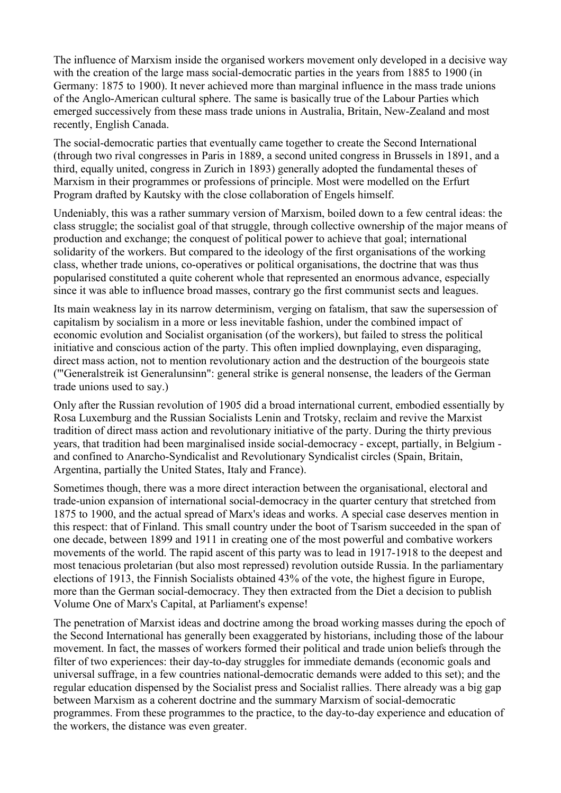The influence of Marxism inside the organised workers movement only developed in a decisive way with the creation of the large mass social-democratic parties in the years from 1885 to 1900 (in Germany: 1875 to 1900). It never achieved more than marginal influence in the mass trade unions of the Anglo-American cultural sphere. The same is basically true of the Labour Parties which emerged successively from these mass trade unions in Australia, Britain, New-Zealand and most recently, English Canada.

The social-democratic parties that eventually came together to create the Second International (through two rival congresses in Paris in 1889, a second united congress in Brussels in 1891, and a third, equally united, congress in Zurich in 1893) generally adopted the fundamental theses of Marxism in their programmes or professions of principle. Most were modelled on the Erfurt Program drafted by Kautsky with the close collaboration of Engels himself.

Undeniably, this was a rather summary version of Marxism, boiled down to a few central ideas: the class struggle; the socialist goal of that struggle, through collective ownership of the major means of production and exchange; the conquest of political power to achieve that goal; international solidarity of the workers. But compared to the ideology of the first organisations of the working class, whether trade unions, co-operatives or political organisations, the doctrine that was thus popularised constituted a quite coherent whole that represented an enormous advance, especially since it was able to influence broad masses, contrary go the first communist sects and leagues.

Its main weakness lay in its narrow determinism, verging on fatalism, that saw the supersession of capitalism by socialism in a more or less inevitable fashion, under the combined impact of economic evolution and Socialist organisation (of the workers), but failed to stress the political initiative and conscious action of the party. This often implied downplaying, even disparaging, direct mass action, not to mention revolutionary action and the destruction of the bourgeois state ('"Generalstreik ist Generalunsinn": general strike is general nonsense, the leaders of the German trade unions used to say.)

Only after the Russian revolution of 1905 did a broad international current, embodied essentially by Rosa Luxemburg and the Russian Socialists Lenin and Trotsky, reclaim and revive the Marxist tradition of direct mass action and revolutionary initiative of the party. During the thirty previous years, that tradition had been marginalised inside social-democracy - except, partially, in Belgium and confined to Anarcho-Syndicalist and Revolutionary Syndicalist circles (Spain, Britain, Argentina, partially the United States, Italy and France).

Sometimes though, there was a more direct interaction between the organisational, electoral and trade-union expansion of international social-democracy in the quarter century that stretched from 1875 to 1900, and the actual spread of Marx's ideas and works. A special case deserves mention in this respect: that of Finland. This small country under the boot of Tsarism succeeded in the span of one decade, between 1899 and 1911 in creating one of the most powerful and combative workers movements of the world. The rapid ascent of this party was to lead in 1917-1918 to the deepest and most tenacious proletarian (but also most repressed) revolution outside Russia. In the parliamentary elections of 1913, the Finnish Socialists obtained 43% of the vote, the highest figure in Europe, more than the German social-democracy. They then extracted from the Diet a decision to publish Volume One of Marx's Capital, at Parliament's expense!

The penetration of Marxist ideas and doctrine among the broad working masses during the epoch of the Second International has generally been exaggerated by historians, including those of the labour movement. In fact, the masses of workers formed their political and trade union beliefs through the filter of two experiences: their day-to-day struggles for immediate demands (economic goals and universal suffrage, in a few countries national-democratic demands were added to this set); and the regular education dispensed by the Socialist press and Socialist rallies. There already was a big gap between Marxism as a coherent doctrine and the summary Marxism of social-democratic programmes. From these programmes to the practice, to the day-to-day experience and education of the workers, the distance was even greater.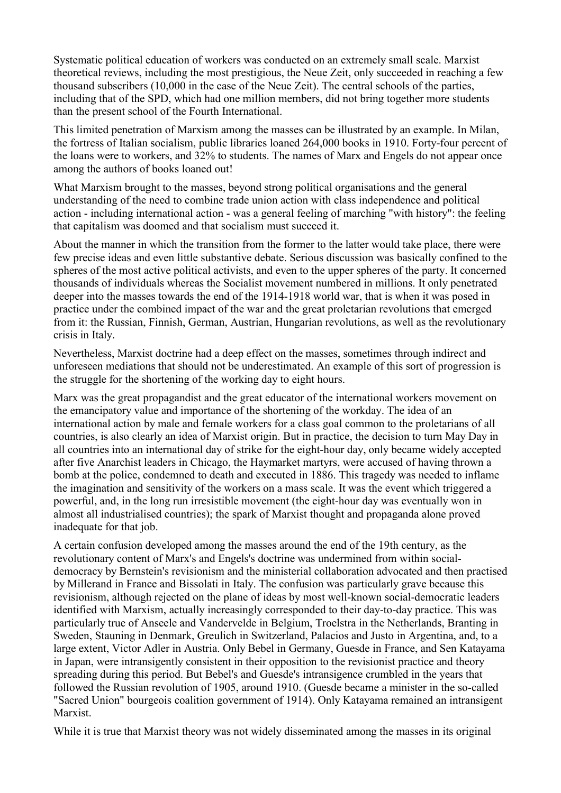Systematic political education of workers was conducted on an extremely small scale. Marxist theoretical reviews, including the most prestigious, the Neue Zeit, only succeeded in reaching a few thousand subscribers (10,000 in the case of the Neue Zeit). The central schools of the parties, including that of the SPD, which had one million members, did not bring together more students than the present school of the Fourth International.

This limited penetration of Marxism among the masses can be illustrated by an example. In Milan, the fortress of Italian socialism, public libraries loaned 264,000 books in 1910. Forty-four percent of the loans were to workers, and 32% to students. The names of Marx and Engels do not appear once among the authors of books loaned out!

What Marxism brought to the masses, beyond strong political organisations and the general understanding of the need to combine trade union action with class independence and political action - including international action - was a general feeling of marching "with history": the feeling that capitalism was doomed and that socialism must succeed it.

About the manner in which the transition from the former to the latter would take place, there were few precise ideas and even little substantive debate. Serious discussion was basically confined to the spheres of the most active political activists, and even to the upper spheres of the party. It concerned thousands of individuals whereas the Socialist movement numbered in millions. It only penetrated deeper into the masses towards the end of the 1914-1918 world war, that is when it was posed in practice under the combined impact of the war and the great proletarian revolutions that emerged from it: the Russian, Finnish, German, Austrian, Hungarian revolutions, as well as the revolutionary crisis in Italy.

Nevertheless, Marxist doctrine had a deep effect on the masses, sometimes through indirect and unforeseen mediations that should not be underestimated. An example of this sort of progression is the struggle for the shortening of the working day to eight hours.

Marx was the great propagandist and the great educator of the international workers movement on the emancipatory value and importance of the shortening of the workday. The idea of an international action by male and female workers for a class goal common to the proletarians of all countries, is also clearly an idea of Marxist origin. But in practice, the decision to turn May Day in all countries into an international day of strike for the eight-hour day, only became widely accepted after five Anarchist leaders in Chicago, the Haymarket martyrs, were accused of having thrown a bomb at the police, condemned to death and executed in 1886. This tragedy was needed to inflame the imagination and sensitivity of the workers on a mass scale. It was the event which triggered a powerful, and, in the long run irresistible movement (the eight-hour day was eventually won in almost all industrialised countries); the spark of Marxist thought and propaganda alone proved inadequate for that job.

A certain confusion developed among the masses around the end of the 19th century, as the revolutionary content of Marx's and Engels's doctrine was undermined from within socialdemocracy by Bernstein's revisionism and the ministerial collaboration advocated and then practised by Millerand in France and Bissolati in Italy. The confusion was particularly grave because this revisionism, although rejected on the plane of ideas by most well-known social-democratic leaders identified with Marxism, actually increasingly corresponded to their day-to-day practice. This was particularly true of Anseele and Vandervelde in Belgium, Troelstra in the Netherlands, Branting in Sweden, Stauning in Denmark, Greulich in Switzerland, Palacios and Justo in Argentina, and, to a large extent, Victor Adler in Austria. Only Bebel in Germany, Guesde in France, and Sen Katayama in Japan, were intransigently consistent in their opposition to the revisionist practice and theory spreading during this period. But Bebel's and Guesde's intransigence crumbled in the years that followed the Russian revolution of 1905, around 1910. (Guesde became a minister in the so-called "Sacred Union" bourgeois coalition government of 1914). Only Katayama remained an intransigent Marxist.

While it is true that Marxist theory was not widely disseminated among the masses in its original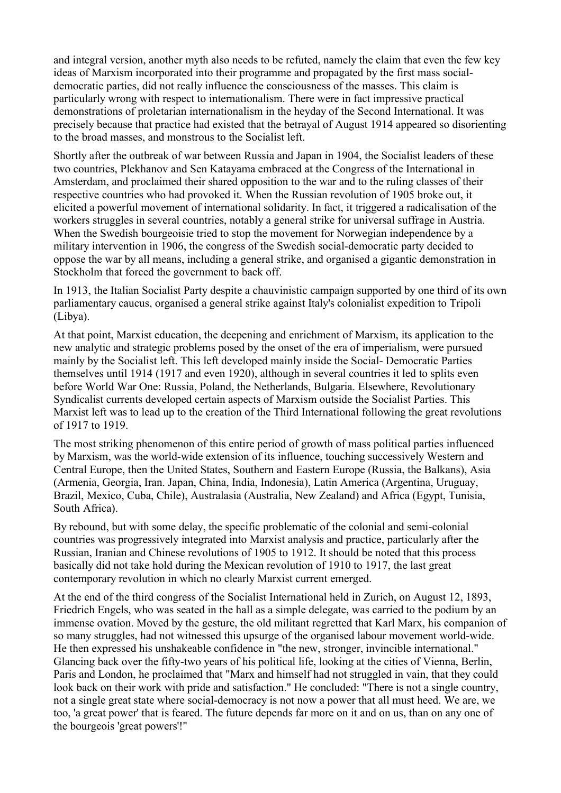and integral version, another myth also needs to be refuted, namely the claim that even the few key ideas of Marxism incorporated into their programme and propagated by the first mass socialdemocratic parties, did not really influence the consciousness of the masses. This claim is particularly wrong with respect to internationalism. There were in fact impressive practical demonstrations of proletarian internationalism in the heyday of the Second International. It was precisely because that practice had existed that the betrayal of August 1914 appeared so disorienting to the broad masses, and monstrous to the Socialist left.

Shortly after the outbreak of war between Russia and Japan in 1904, the Socialist leaders of these two countries, Plekhanov and Sen Katayama embraced at the Congress of the International in Amsterdam, and proclaimed their shared opposition to the war and to the ruling classes of their respective countries who had provoked it. When the Russian revolution of 1905 broke out, it elicited a powerful movement of international solidarity. In fact, it triggered a radicalisation of the workers struggles in several countries, notably a general strike for universal suffrage in Austria. When the Swedish bourgeoisie tried to stop the movement for Norwegian independence by a military intervention in 1906, the congress of the Swedish social-democratic party decided to oppose the war by all means, including a general strike, and organised a gigantic demonstration in Stockholm that forced the government to back off.

In 1913, the Italian Socialist Party despite a chauvinistic campaign supported by one third of its own parliamentary caucus, organised a general strike against Italy's colonialist expedition to Tripoli (Libya).

At that point, Marxist education, the deepening and enrichment of Marxism, its application to the new analytic and strategic problems posed by the onset of the era of imperialism, were pursued mainly by the Socialist left. This left developed mainly inside the Social- Democratic Parties themselves until 1914 (1917 and even 1920), although in several countries it led to splits even before World War One: Russia, Poland, the Netherlands, Bulgaria. Elsewhere, Revolutionary Syndicalist currents developed certain aspects of Marxism outside the Socialist Parties. This Marxist left was to lead up to the creation of the Third International following the great revolutions of 1917 to 1919.

The most striking phenomenon of this entire period of growth of mass political parties influenced by Marxism, was the world-wide extension of its influence, touching successively Western and Central Europe, then the United States, Southern and Eastern Europe (Russia, the Balkans), Asia (Armenia, Georgia, Iran. Japan, China, India, Indonesia), Latin America (Argentina, Uruguay, Brazil, Mexico, Cuba, Chile), Australasia (Australia, New Zealand) and Africa (Egypt, Tunisia, South Africa).

By rebound, but with some delay, the specific problematic of the colonial and semi-colonial countries was progressively integrated into Marxist analysis and practice, particularly after the Russian, Iranian and Chinese revolutions of 1905 to 1912. It should be noted that this process basically did not take hold during the Mexican revolution of 1910 to 1917, the last great contemporary revolution in which no clearly Marxist current emerged.

At the end of the third congress of the Socialist International held in Zurich, on August 12, 1893, Friedrich Engels, who was seated in the hall as a simple delegate, was carried to the podium by an immense ovation. Moved by the gesture, the old militant regretted that Karl Marx, his companion of so many struggles, had not witnessed this upsurge of the organised labour movement world-wide. He then expressed his unshakeable confidence in "the new, stronger, invincible international." Glancing back over the fifty-two years of his political life, looking at the cities of Vienna, Berlin, Paris and London, he proclaimed that "Marx and himself had not struggled in vain, that they could look back on their work with pride and satisfaction." He concluded: "There is not a single country, not a single great state where social-democracy is not now a power that all must heed. We are, we too, 'a great power' that is feared. The future depends far more on it and on us, than on any one of the bourgeois 'great powers'!"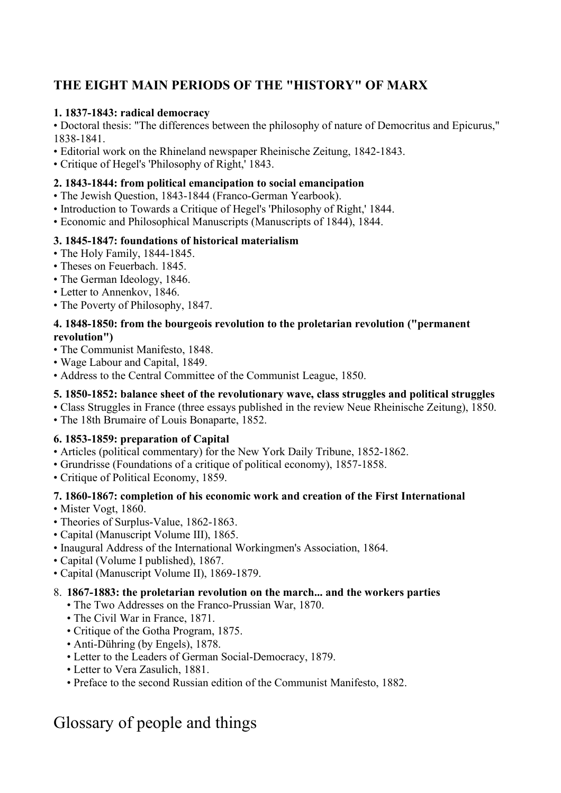# **THE EIGHT MAIN PERIODS OF THE "HISTORY" OF MARX**

### **1. 1837-1843: radical democracy**

• Doctoral thesis: "The differences between the philosophy of nature of Democritus and Epicurus," 1838-1841.

- Editorial work on the Rhineland newspaper Rheinische Zeitung, 1842-1843.
- Critique of Hegel's 'Philosophy of Right,' 1843.

### **2. 1843-1844: from political emancipation to social emancipation**

- The Jewish Question, 1843-1844 (Franco-German Yearbook).
- Introduction to Towards a Critique of Hegel's 'Philosophy of Right,' 1844.
- Economic and Philosophical Manuscripts (Manuscripts of 1844), 1844.

### **3. 1845-1847: foundations of historical materialism**

- The Holy Family, 1844-1845.
- Theses on Feuerbach. 1845.
- The German Ideology, 1846.
- Letter to Annenkov, 1846.
- The Poverty of Philosophy, 1847.

#### **4. 1848-1850: from the bourgeois revolution to the proletarian revolution ("permanent revolution")**

- The Communist Manifesto, 1848.
- Wage Labour and Capital, 1849.
- Address to the Central Committee of the Communist League, 1850.

### **5. 1850-1852: balance sheet of the revolutionary wave, class struggles and political struggles**

- Class Struggles in France (three essays published in the review Neue Rheinische Zeitung), 1850.
- The 18th Brumaire of Louis Bonaparte, 1852.

### **6. 1853-1859: preparation of Capital**

- Articles (political commentary) for the New York Daily Tribune, 1852-1862.
- Grundrisse (Foundations of a critique of political economy), 1857-1858.
- Critique of Political Economy, 1859.

### **7. 1860-1867: completion of his economic work and creation of the First International**

• Mister Vogt, 1860.

- Theories of Surplus-Value, 1862-1863.
- Capital (Manuscript Volume III), 1865.
- Inaugural Address of the International Workingmen's Association, 1864.
- Capital (Volume I published), 1867.
- Capital (Manuscript Volume II), 1869-1879.

### 8. **1867-1883: the proletarian revolution on the march... and the workers parties**

- The Two Addresses on the Franco-Prussian War, 1870.
- The Civil War in France, 1871.
- Critique of the Gotha Program, 1875.
- Anti-Dühring (by Engels), 1878.
- Letter to the Leaders of German Social-Democracy, 1879.
- Letter to Vera Zasulich, 1881.
- Preface to the second Russian edition of the Communist Manifesto, 1882.

# Glossary of people and things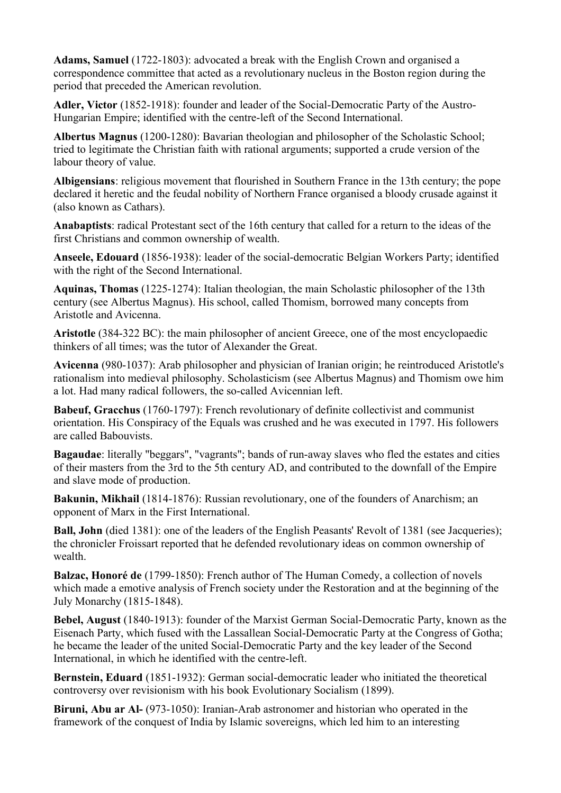**Adams, Samuel** (1722-1803): advocated a break with the English Crown and organised a correspondence committee that acted as a revolutionary nucleus in the Boston region during the period that preceded the American revolution.

**Adler, Victor** (1852-1918): founder and leader of the Social-Democratic Party of the Austro-Hungarian Empire; identified with the centre-left of the Second International.

**Albertus Magnus** (1200-1280): Bavarian theologian and philosopher of the Scholastic School; tried to legitimate the Christian faith with rational arguments; supported a crude version of the labour theory of value.

**Albigensians**: religious movement that flourished in Southern France in the 13th century; the pope declared it heretic and the feudal nobility of Northern France organised a bloody crusade against it (also known as Cathars).

**Anabaptists**: radical Protestant sect of the 16th century that called for a return to the ideas of the first Christians and common ownership of wealth.

**Anseele, Edouard** (1856-1938): leader of the social-democratic Belgian Workers Party; identified with the right of the Second International.

**Aquinas, Thomas** (1225-1274): Italian theologian, the main Scholastic philosopher of the 13th century (see Albertus Magnus). His school, called Thomism, borrowed many concepts from Aristotle and Avicenna.

**Aristotle** (384-322 BC): the main philosopher of ancient Greece, one of the most encyclopaedic thinkers of all times; was the tutor of Alexander the Great.

**Avicenna** (980-1037): Arab philosopher and physician of Iranian origin; he reintroduced Aristotle's rationalism into medieval philosophy. Scholasticism (see Albertus Magnus) and Thomism owe him a lot. Had many radical followers, the so-called Avicennian left.

**Babeuf, Gracchus** (1760-1797): French revolutionary of definite collectivist and communist orientation. His Conspiracy of the Equals was crushed and he was executed in 1797. His followers are called Babouvists.

**Bagaudae**: literally "beggars", "vagrants"; bands of run-away slaves who fled the estates and cities of their masters from the 3rd to the 5th century AD, and contributed to the downfall of the Empire and slave mode of production.

**Bakunin, Mikhail** (1814-1876): Russian revolutionary, one of the founders of Anarchism; an opponent of Marx in the First International.

**Ball, John** (died 1381): one of the leaders of the English Peasants' Revolt of 1381 (see Jacqueries); the chronicler Froissart reported that he defended revolutionary ideas on common ownership of wealth.

**Balzac, Honoré de** (1799-1850): French author of The Human Comedy, a collection of novels which made a emotive analysis of French society under the Restoration and at the beginning of the July Monarchy (1815-1848).

**Bebel, August** (1840-1913): founder of the Marxist German Social-Democratic Party, known as the Eisenach Party, which fused with the Lassallean Social-Democratic Party at the Congress of Gotha; he became the leader of the united Social-Democratic Party and the key leader of the Second International, in which he identified with the centre-left.

**Bernstein, Eduard** (1851-1932): German social-democratic leader who initiated the theoretical controversy over revisionism with his book Evolutionary Socialism (1899).

**Biruni, Abu ar Al-** (973-1050): Iranian-Arab astronomer and historian who operated in the framework of the conquest of India by Islamic sovereigns, which led him to an interesting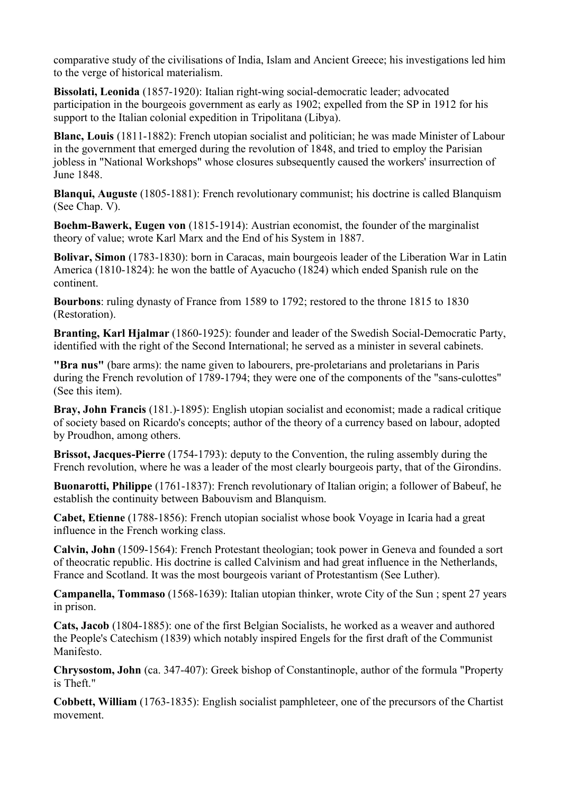comparative study of the civilisations of India, Islam and Ancient Greece; his investigations led him to the verge of historical materialism.

**Bissolati, Leonida** (1857-1920): Italian right-wing social-democratic leader; advocated participation in the bourgeois government as early as 1902; expelled from the SP in 1912 for his support to the Italian colonial expedition in Tripolitana (Libya).

**Blanc, Louis** (1811-1882): French utopian socialist and politician; he was made Minister of Labour in the government that emerged during the revolution of 1848, and tried to employ the Parisian jobless in "National Workshops" whose closures subsequently caused the workers' insurrection of June 1848.

**Blanqui, Auguste** (1805-1881): French revolutionary communist; his doctrine is called Blanquism (See Chap. V).

**Boehm-Bawerk, Eugen von** (1815-1914): Austrian economist, the founder of the marginalist theory of value; wrote Karl Marx and the End of his System in 1887.

**Bolivar, Simon** (1783-1830): born in Caracas, main bourgeois leader of the Liberation War in Latin America (1810-1824): he won the battle of Ayacucho (1824) which ended Spanish rule on the continent.

**Bourbons**: ruling dynasty of France from 1589 to 1792; restored to the throne 1815 to 1830 (Restoration).

**Branting, Karl Hjalmar** (1860-1925): founder and leader of the Swedish Social-Democratic Party, identified with the right of the Second International; he served as a minister in several cabinets.

**"Bra nus"** (bare arms): the name given to labourers, pre-proletarians and proletarians in Paris during the French revolution of 1789-1794; they were one of the components of the "sans-culottes" (See this item).

**Bray, John Francis** (181.)-1895): English utopian socialist and economist; made a radical critique of society based on Ricardo's concepts; author of the theory of a currency based on labour, adopted by Proudhon, among others.

**Brissot, Jacques-Pierre** (1754-1793): deputy to the Convention, the ruling assembly during the French revolution, where he was a leader of the most clearly bourgeois party, that of the Girondins.

**Buonarotti, Philippe** (1761-1837): French revolutionary of Italian origin; a follower of Babeuf, he establish the continuity between Babouvism and Blanquism.

**Cabet, Etienne** (1788-1856): French utopian socialist whose book Voyage in Icaria had a great influence in the French working class.

**Calvin, John** (1509-1564): French Protestant theologian; took power in Geneva and founded a sort of theocratic republic. His doctrine is called Calvinism and had great influence in the Netherlands, France and Scotland. It was the most bourgeois variant of Protestantism (See Luther).

**Campanella, Tommaso** (1568-1639): Italian utopian thinker, wrote City of the Sun ; spent 27 years in prison.

**Cats, Jacob** (1804-1885): one of the first Belgian Socialists, he worked as a weaver and authored the People's Catechism (1839) which notably inspired Engels for the first draft of the Communist Manifesto.

**Chrysostom, John** (ca. 347-407): Greek bishop of Constantinople, author of the formula "Property is Theft."

**Cobbett, William** (1763-1835): English socialist pamphleteer, one of the precursors of the Chartist movement.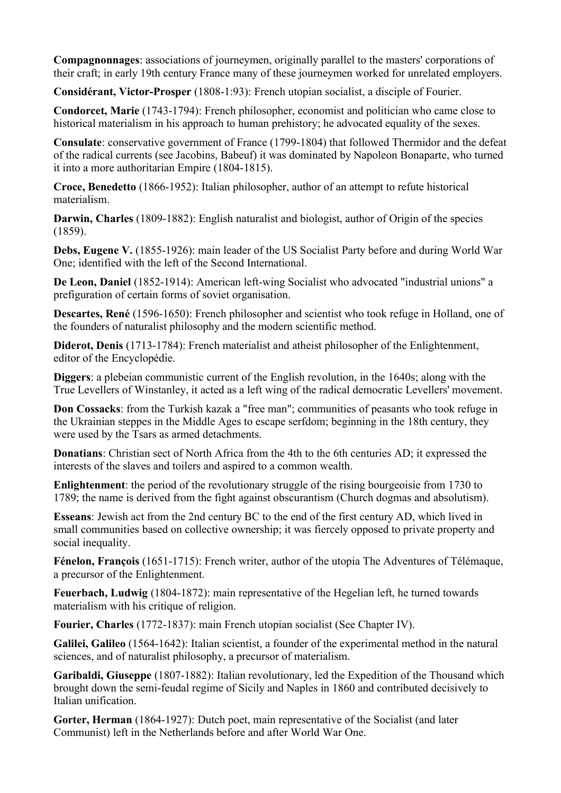**Compagnonnages**: associations of journeymen, originally parallel to the masters' corporations of their craft; in early 19th century France many of these journeymen worked for unrelated employers.

**Considérant, Victor-Prosper** (1808-1:93): French utopian socialist, a disciple of Fourier.

**Condorcet, Marie** (1743-1794): French philosopher, economist and politician who came close to historical materialism in his approach to human prehistory; he advocated equality of the sexes.

**Consulate**: conservative government of France (1799-1804) that followed Thermidor and the defeat of the radical currents (see Jacobins, Babeuf) it was dominated by Napoleon Bonaparte, who turned it into a more authoritarian Empire (1804-1815).

**Croce, Benedetto** (1866-1952): Italian philosopher, author of an attempt to refute historical materialism.

**Darwin, Charles** (1809-1882): English naturalist and biologist, author of Origin of the species (1859).

**Debs, Eugene V.** (1855-1926): main leader of the US Socialist Party before and during World War One; identified with the left of the Second International.

**De Leon, Daniel** (1852-1914): American left-wing Socialist who advocated "industrial unions" a prefiguration of certain forms of soviet organisation.

**Descartes, René** (1596-1650): French philosopher and scientist who took refuge in Holland, one of the founders of naturalist philosophy and the modern scientific method.

**Diderot, Denis** (1713-1784): French materialist and atheist philosopher of the Enlightenment, editor of the Encyclopédie.

**Diggers**: a plebeian communistic current of the English revolution, in the 1640s; along with the True Levellers of Winstanley, it acted as a left wing of the radical democratic Levellers' movement.

**Don Cossacks**: from the Turkish kazak a "free man"; communities of peasants who took refuge in the Ukrainian steppes in the Middle Ages to escape serfdom; beginning in the 18th century, they were used by the Tsars as armed detachments.

**Donatians**: Christian sect of North Africa from the 4th to the 6th centuries AD; it expressed the interests of the slaves and toilers and aspired to a common wealth.

**Enlightenment**: the period of the revolutionary struggle of the rising bourgeoisie from 1730 to 1789; the name is derived from the fight against obscurantism (Church dogmas and absolutism).

**Esseans**: Jewish act from the 2nd century BC to the end of the first century AD, which lived in small communities based on collective ownership; it was fiercely opposed to private property and social inequality.

**Fénelon, François** (1651-1715): French writer, author of the utopia The Adventures of Télémaque, a precursor of the Enlightenment.

**Feuerbach, Ludwig** (1804-1872): main representative of the Hegelian left, he turned towards materialism with his critique of religion.

**Fourier, Charles** (1772-1837): main French utopian socialist (See Chapter IV).

**Galilei, Galileo** (1564-1642): Italian scientist, a founder of the experimental method in the natural sciences, and of naturalist philosophy, a precursor of materialism.

**Garibaldi, Giuseppe** (1807-1882): Italian revolutionary, led the Expedition of the Thousand which brought down the semi-feudal regime of Sicily and Naples in 1860 and contributed decisively to Italian unification.

**Gorter, Herman** (1864-1927): Dutch poet, main representative of the Socialist (and later Communist) left in the Netherlands before and after World War One.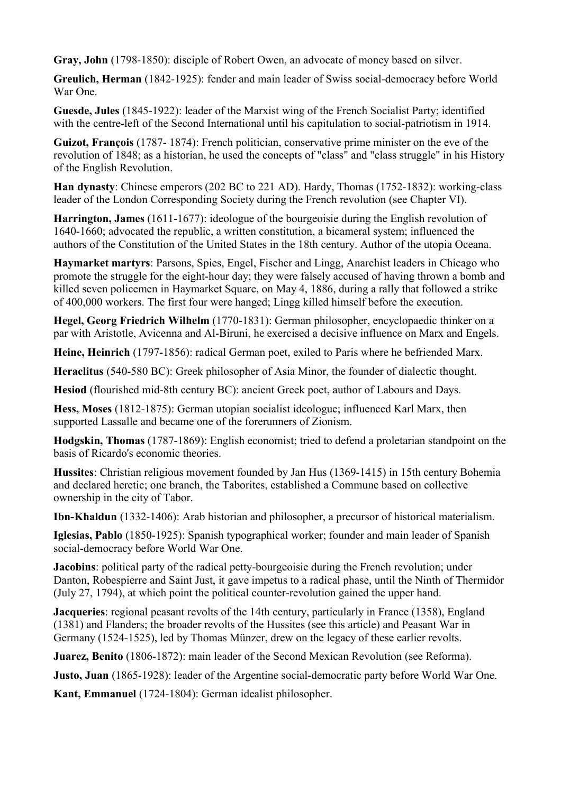**Gray, John** (1798-1850): disciple of Robert Owen, an advocate of money based on silver.

**Greulich, Herman** (1842-1925): fender and main leader of Swiss social-democracy before World War One.

**Guesde, Jules** (1845-1922): leader of the Marxist wing of the French Socialist Party; identified with the centre-left of the Second International until his capitulation to social-patriotism in 1914.

**Guizot, François** (1787- 1874): French politician, conservative prime minister on the eve of the revolution of 1848; as a historian, he used the concepts of "class" and "class struggle" in his History of the English Revolution.

**Han dynasty**: Chinese emperors (202 BC to 221 AD). Hardy, Thomas (1752-1832): working-class leader of the London Corresponding Society during the French revolution (see Chapter VI).

**Harrington, James** (1611-1677): ideologue of the bourgeoisie during the English revolution of 1640-1660; advocated the republic, a written constitution, a bicameral system; influenced the authors of the Constitution of the United States in the 18th century. Author of the utopia Oceana.

**Haymarket martyrs**: Parsons, Spies, Engel, Fischer and Lingg, Anarchist leaders in Chicago who promote the struggle for the eight-hour day; they were falsely accused of having thrown a bomb and killed seven policemen in Haymarket Square, on May 4, 1886, during a rally that followed a strike of 400,000 workers. The first four were hanged; Lingg killed himself before the execution.

**Hegel, Georg Friedrich Wilhelm** (1770-1831): German philosopher, encyclopaedic thinker on a par with Aristotle, Avicenna and Al-Biruni, he exercised a decisive influence on Marx and Engels.

**Heine, Heinrich** (1797-1856): radical German poet, exiled to Paris where he befriended Marx.

**Heraclitus** (540-580 BC): Greek philosopher of Asia Minor, the founder of dialectic thought.

**Hesiod** (flourished mid-8th century BC): ancient Greek poet, author of Labours and Days.

**Hess, Moses** (1812-1875): German utopian socialist ideologue; influenced Karl Marx, then supported Lassalle and became one of the forerunners of Zionism.

**Hodgskin, Thomas** (1787-1869): English economist; tried to defend a proletarian standpoint on the basis of Ricardo's economic theories.

**Hussites**: Christian religious movement founded by Jan Hus (1369-1415) in 15th century Bohemia and declared heretic; one branch, the Taborites, established a Commune based on collective ownership in the city of Tabor.

**Ibn-Khaldun** (1332-1406): Arab historian and philosopher, a precursor of historical materialism.

**Iglesias, Pablo** (1850-1925): Spanish typographical worker; founder and main leader of Spanish social-democracy before World War One.

**Jacobins**: political party of the radical petty-bourgeoisie during the French revolution; under Danton, Robespierre and Saint Just, it gave impetus to a radical phase, until the Ninth of Thermidor (July 27, 1794), at which point the political counter-revolution gained the upper hand.

**Jacqueries**: regional peasant revolts of the 14th century, particularly in France (1358), England (1381) and Flanders; the broader revolts of the Hussites (see this article) and Peasant War in Germany (1524-1525), led by Thomas Münzer, drew on the legacy of these earlier revolts.

**Juarez, Benito** (1806-1872): main leader of the Second Mexican Revolution (see Reforma).

**Justo, Juan** (1865-1928): leader of the Argentine social-democratic party before World War One.

**Kant, Emmanuel** (1724-1804): German idealist philosopher.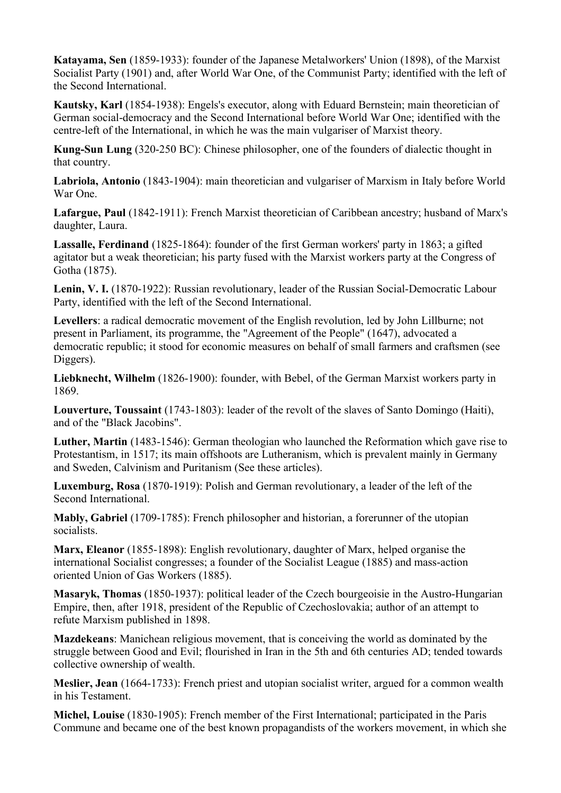**Katayama, Sen** (1859-1933): founder of the Japanese Metalworkers' Union (1898), of the Marxist Socialist Party (1901) and, after World War One, of the Communist Party; identified with the left of the Second International.

**Kautsky, Karl** (1854-1938): Engels's executor, along with Eduard Bernstein; main theoretician of German social-democracy and the Second International before World War One; identified with the centre-left of the International, in which he was the main vulgariser of Marxist theory.

**Kung-Sun Lung** (320-250 BC): Chinese philosopher, one of the founders of dialectic thought in that country.

**Labriola, Antonio** (1843-1904): main theoretician and vulgariser of Marxism in Italy before World War One.

**Lafargue, Paul** (1842-1911): French Marxist theoretician of Caribbean ancestry; husband of Marx's daughter, Laura.

**Lassalle, Ferdinand** (1825-1864): founder of the first German workers' party in 1863; a gifted agitator but a weak theoretician; his party fused with the Marxist workers party at the Congress of Gotha (1875).

**Lenin, V. I.** (1870-1922): Russian revolutionary, leader of the Russian Social-Democratic Labour Party, identified with the left of the Second International.

**Levellers**: a radical democratic movement of the English revolution, led by John Lillburne; not present in Parliament, its programme, the "Agreement of the People" (1647), advocated a democratic republic; it stood for economic measures on behalf of small farmers and craftsmen (see Diggers).

**Liebknecht, Wilhelm** (1826-1900): founder, with Bebel, of the German Marxist workers party in 1869.

**Louverture, Toussaint** (1743-1803): leader of the revolt of the slaves of Santo Domingo (Haiti), and of the "Black Jacobins".

**Luther, Martin** (1483-1546): German theologian who launched the Reformation which gave rise to Protestantism, in 1517; its main offshoots are Lutheranism, which is prevalent mainly in Germany and Sweden, Calvinism and Puritanism (See these articles).

**Luxemburg, Rosa** (1870-1919): Polish and German revolutionary, a leader of the left of the Second International.

**Mably, Gabriel** (1709-1785): French philosopher and historian, a forerunner of the utopian socialists.

**Marx, Eleanor** (1855-1898): English revolutionary, daughter of Marx, helped organise the international Socialist congresses; a founder of the Socialist League (1885) and mass-action oriented Union of Gas Workers (1885).

**Masaryk, Thomas** (1850-1937): political leader of the Czech bourgeoisie in the Austro-Hungarian Empire, then, after 1918, president of the Republic of Czechoslovakia; author of an attempt to refute Marxism published in 1898.

**Mazdekeans**: Manichean religious movement, that is conceiving the world as dominated by the struggle between Good and Evil; flourished in Iran in the 5th and 6th centuries AD; tended towards collective ownership of wealth.

**Meslier, Jean** (1664-1733): French priest and utopian socialist writer, argued for a common wealth in his Testament.

**Michel, Louise** (1830-1905): French member of the First International; participated in the Paris Commune and became one of the best known propagandists of the workers movement, in which she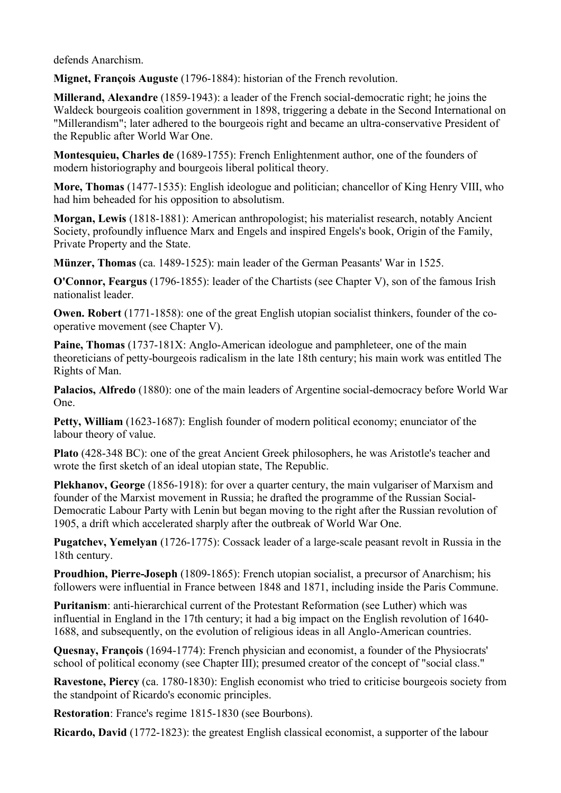defends Anarchism.

**Mignet, François Auguste** (1796-1884): historian of the French revolution.

**Millerand, Alexandre** (1859-1943): a leader of the French social-democratic right; he joins the Waldeck bourgeois coalition government in 1898, triggering a debate in the Second International on "Millerandism"; later adhered to the bourgeois right and became an ultra-conservative President of the Republic after World War One.

**Montesquieu, Charles de** (1689-1755): French Enlightenment author, one of the founders of modern historiography and bourgeois liberal political theory.

**More, Thomas** (1477-1535): English ideologue and politician; chancellor of King Henry VIII, who had him beheaded for his opposition to absolutism.

**Morgan, Lewis** (1818-1881): American anthropologist; his materialist research, notably Ancient Society, profoundly influence Marx and Engels and inspired Engels's book, Origin of the Family, Private Property and the State.

**Münzer, Thomas** (ca. 1489-1525): main leader of the German Peasants' War in 1525.

**O'Connor, Feargus** (1796-1855): leader of the Chartists (see Chapter V), son of the famous Irish nationalist leader.

**Owen. Robert** (1771-1858): one of the great English utopian socialist thinkers, founder of the cooperative movement (see Chapter V).

**Paine, Thomas** (1737-181X: Anglo-American ideologue and pamphleteer, one of the main theoreticians of petty-bourgeois radicalism in the late 18th century; his main work was entitled The Rights of Man.

**Palacios, Alfredo** (1880): one of the main leaders of Argentine social-democracy before World War One.

Petty, William (1623-1687): English founder of modern political economy; enunciator of the labour theory of value.

**Plato** (428-348 BC): one of the great Ancient Greek philosophers, he was Aristotle's teacher and wrote the first sketch of an ideal utopian state, The Republic.

**Plekhanov, George** (1856-1918): for over a quarter century, the main vulgariser of Marxism and founder of the Marxist movement in Russia; he drafted the programme of the Russian Social-Democratic Labour Party with Lenin but began moving to the right after the Russian revolution of 1905, a drift which accelerated sharply after the outbreak of World War One.

**Pugatchev, Yemelyan** (1726-1775): Cossack leader of a large-scale peasant revolt in Russia in the 18th century.

**Proudhion, Pierre-Joseph** (1809-1865): French utopian socialist, a precursor of Anarchism; his followers were influential in France between 1848 and 1871, including inside the Paris Commune.

**Puritanism**: anti-hierarchical current of the Protestant Reformation (see Luther) which was influential in England in the 17th century; it had a big impact on the English revolution of 1640- 1688, and subsequently, on the evolution of religious ideas in all Anglo-American countries.

**Quesnay, François** (1694-1774): French physician and economist, a founder of the Physiocrats' school of political economy (see Chapter III); presumed creator of the concept of "social class."

**Ravestone, Piercy** (ca. 1780-1830): English economist who tried to criticise bourgeois society from the standpoint of Ricardo's economic principles.

**Restoration**: France's regime 1815-1830 (see Bourbons).

**Ricardo, David** (1772-1823): the greatest English classical economist, a supporter of the labour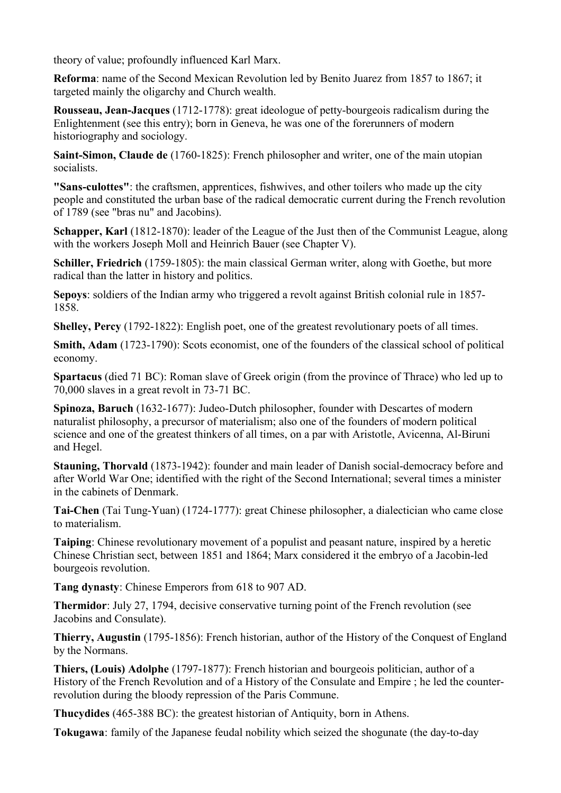theory of value; profoundly influenced Karl Marx.

**Reforma**: name of the Second Mexican Revolution led by Benito Juarez from 1857 to 1867; it targeted mainly the oligarchy and Church wealth.

**Rousseau, Jean-Jacques** (1712-1778): great ideologue of petty-bourgeois radicalism during the Enlightenment (see this entry); born in Geneva, he was one of the forerunners of modern historiography and sociology.

**Saint-Simon, Claude de** (1760-1825): French philosopher and writer, one of the main utopian socialists.

**"Sans-culottes"**: the craftsmen, apprentices, fishwives, and other toilers who made up the city people and constituted the urban base of the radical democratic current during the French revolution of 1789 (see "bras nu" and Jacobins).

**Schapper, Karl** (1812-1870): leader of the League of the Just then of the Communist League, along with the workers Joseph Moll and Heinrich Bauer (see Chapter V).

**Schiller, Friedrich** (1759-1805): the main classical German writer, along with Goethe, but more radical than the latter in history and politics.

**Sepoys**: soldiers of the Indian army who triggered a revolt against British colonial rule in 1857- 1858.

**Shelley, Percy** (1792-1822): English poet, one of the greatest revolutionary poets of all times.

**Smith, Adam** (1723-1790): Scots economist, one of the founders of the classical school of political economy.

**Spartacus** (died 71 BC): Roman slave of Greek origin (from the province of Thrace) who led up to 70,000 slaves in a great revolt in 73-71 BC.

**Spinoza, Baruch** (1632-1677): Judeo-Dutch philosopher, founder with Descartes of modern naturalist philosophy, a precursor of materialism; also one of the founders of modern political science and one of the greatest thinkers of all times, on a par with Aristotle, Avicenna, Al-Biruni and Hegel.

**Stauning, Thorvald** (1873-1942): founder and main leader of Danish social-democracy before and after World War One; identified with the right of the Second International; several times a minister in the cabinets of Denmark.

**Tai-Chen** (Tai Tung-Yuan) (1724-1777): great Chinese philosopher, a dialectician who came close to materialism.

**Taiping**: Chinese revolutionary movement of a populist and peasant nature, inspired by a heretic Chinese Christian sect, between 1851 and 1864; Marx considered it the embryo of a Jacobin-led bourgeois revolution.

**Tang dynasty**: Chinese Emperors from 618 to 907 AD.

**Thermidor**: July 27, 1794, decisive conservative turning point of the French revolution (see Jacobins and Consulate).

**Thierry, Augustin** (1795-1856): French historian, author of the History of the Conquest of England by the Normans.

**Thiers, (Louis) Adolphe** (1797-1877): French historian and bourgeois politician, author of a History of the French Revolution and of a History of the Consulate and Empire ; he led the counterrevolution during the bloody repression of the Paris Commune.

**Thucydides** (465-388 BC): the greatest historian of Antiquity, born in Athens.

**Tokugawa**: family of the Japanese feudal nobility which seized the shogunate (the day-to-day